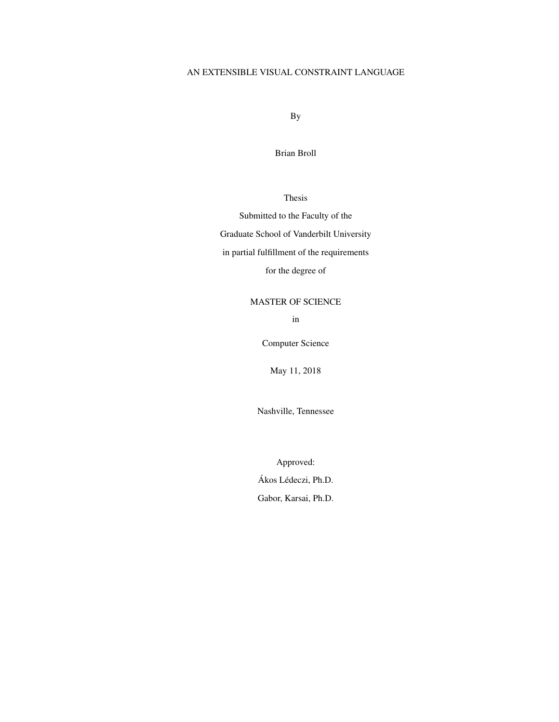# AN EXTENSIBLE VISUAL CONSTRAINT LANGUAGE

By

Brian Broll

Thesis

Submitted to the Faculty of the Graduate School of Vanderbilt University in partial fulfillment of the requirements for the degree of

MASTER OF SCIENCE

in

Computer Science

May 11, 2018

Nashville, Tennessee

Approved:

Ákos Lédeczi, Ph.D. Gabor, Karsai, Ph.D.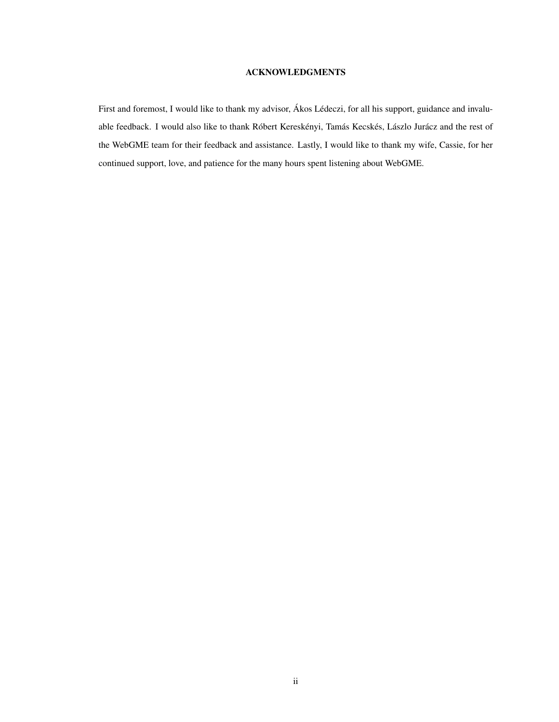## ACKNOWLEDGMENTS

<span id="page-1-0"></span>First and foremost, I would like to thank my advisor, Ákos Lédeczi, for all his support, guidance and invaluable feedback. I would also like to thank Róbert Kereskényi, Tamás Kecskés, Lászlo Jurácz and the rest of the WebGME team for their feedback and assistance. Lastly, I would like to thank my wife, Cassie, for her continued support, love, and patience for the many hours spent listening about WebGME.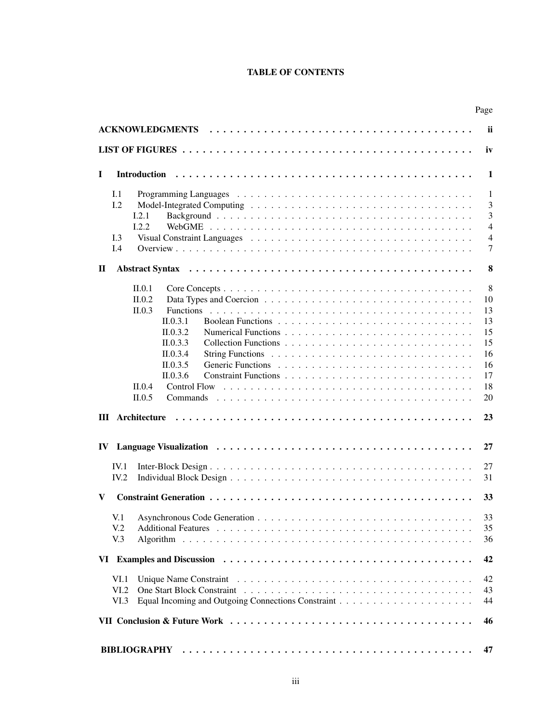# TABLE OF CONTENTS

|     |                 |                               | Page                |  |  |  |  |
|-----|-----------------|-------------------------------|---------------------|--|--|--|--|
|     |                 |                               | <b>ii</b>           |  |  |  |  |
|     |                 |                               | iv                  |  |  |  |  |
|     |                 |                               |                     |  |  |  |  |
| L   |                 | <b>Introduction</b>           | 1                   |  |  |  |  |
|     | I.1             |                               | -1                  |  |  |  |  |
|     | L <sub>2</sub>  |                               | 3                   |  |  |  |  |
|     |                 | I.2.1                         | 3                   |  |  |  |  |
|     |                 | 1.2.2                         | $\overline{4}$      |  |  |  |  |
|     | I.3<br>I.4      |                               | $\overline{4}$<br>7 |  |  |  |  |
|     |                 |                               |                     |  |  |  |  |
| П   |                 |                               | 8                   |  |  |  |  |
|     |                 | II.0.1                        | 8                   |  |  |  |  |
|     |                 | II.0.2                        | 10                  |  |  |  |  |
|     |                 | <b>Functions</b><br>II.0.3    | 13                  |  |  |  |  |
|     |                 | $\Pi$ , 0.3.1                 | 13                  |  |  |  |  |
|     |                 | II.0.3.2                      | 15                  |  |  |  |  |
|     |                 | II.0.3.3                      | 15                  |  |  |  |  |
|     |                 | II.0.3.4                      | 16                  |  |  |  |  |
|     |                 | II.0.3.5                      | 16                  |  |  |  |  |
|     |                 | II.0.3.6                      | 17                  |  |  |  |  |
|     |                 | II.0.4<br><b>Control Flow</b> | 18                  |  |  |  |  |
|     |                 | II.0.5<br>Commands            | 20                  |  |  |  |  |
|     |                 |                               | 23                  |  |  |  |  |
|     |                 |                               |                     |  |  |  |  |
| IV. |                 |                               | 27                  |  |  |  |  |
|     | IV.1            |                               | 27                  |  |  |  |  |
|     | IV.2            |                               | 31                  |  |  |  |  |
|     |                 |                               |                     |  |  |  |  |
| V   |                 |                               | 33                  |  |  |  |  |
|     |                 |                               | 33                  |  |  |  |  |
|     | V <sub>12</sub> |                               | 35                  |  |  |  |  |
|     | V <sub>0</sub>  |                               | 36                  |  |  |  |  |
|     |                 |                               |                     |  |  |  |  |
|     |                 |                               | 42                  |  |  |  |  |
|     | VI.1            |                               | 42                  |  |  |  |  |
|     | VI.2            |                               | 43                  |  |  |  |  |
|     | VI.3            |                               | 44                  |  |  |  |  |
|     |                 |                               | 46                  |  |  |  |  |
|     |                 |                               |                     |  |  |  |  |
|     |                 | <b>BIBLIOGRAPHY</b>           | 47                  |  |  |  |  |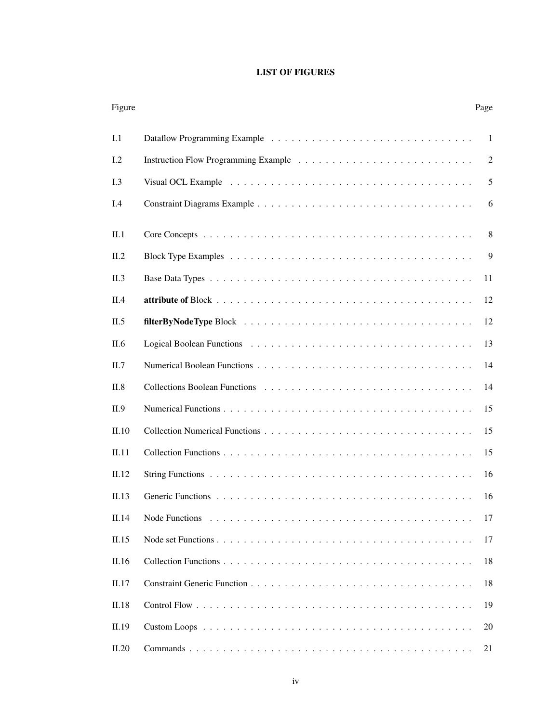# LIST OF FIGURES

<span id="page-3-0"></span>

| Figure         | Page |
|----------------|------|
| I.1            | -1   |
| L <sub>2</sub> | 2    |
| L <sub>3</sub> | 5    |
| I.4            | 6    |
| II.1           | 8    |
| II.2           | 9    |
| II.3           | 11   |
| II.4           | 12   |
| II.5           | 12   |
| II.6           | 13   |
| II.7           | 14   |
| II.8           | 14   |
| II.9           | 15   |
| II.10          | 15   |
| II.11          | 15   |
| II.12          | 16   |
| II.13          | 16   |
| II.14          | 17   |
| II.15          | 17   |
| II.16          | 18   |
| II.17          | 18   |
| II.18          | 19   |
| II.19          | 20   |
| II.20          | 21   |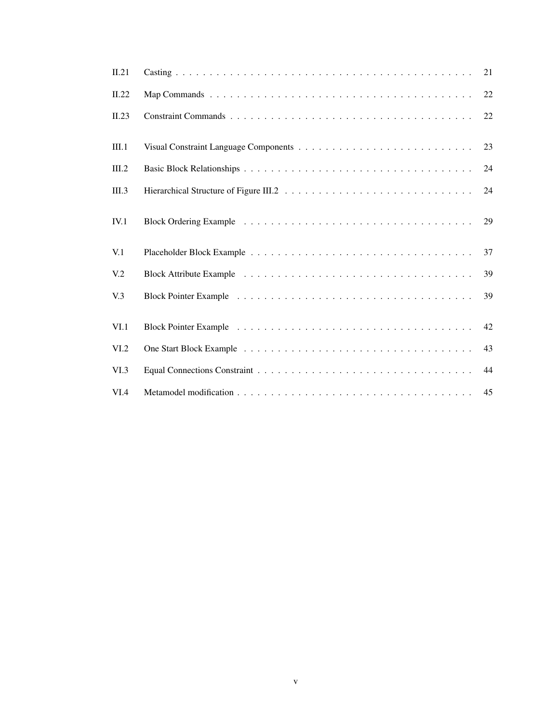| II.21            | 21 |
|------------------|----|
| II.22            | 22 |
| II.23            | 22 |
| III.1            | 23 |
| III.2            | 24 |
| III.3            | 24 |
| IV.1             | 29 |
| V <sub>1</sub>   | 37 |
| V <sub>12</sub>  | 39 |
| V <sub>0</sub> 3 | 39 |
| VI.1             | 42 |
| VI.2             | 43 |
| VI.3             | 44 |
| VI.4             | 45 |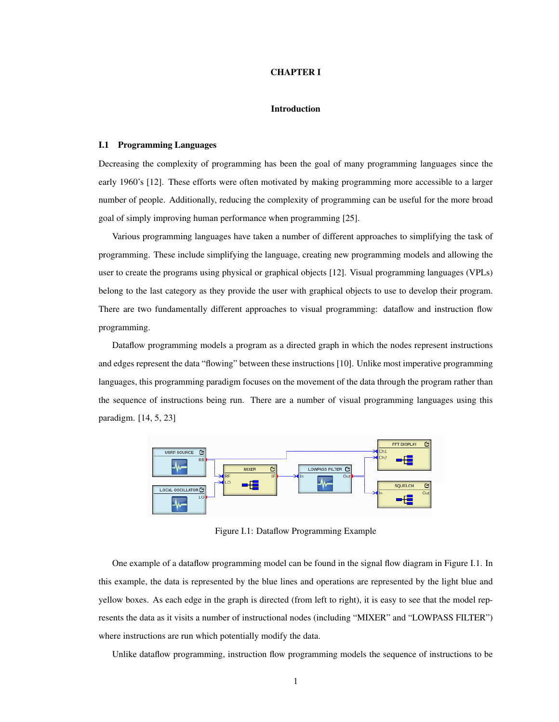### CHAPTER I

## Introduction

## <span id="page-5-1"></span><span id="page-5-0"></span>I.1 Programming Languages

Decreasing the complexity of programming has been the goal of many programming languages since the early 1960's [\[12\]](#page-51-1). These efforts were often motivated by making programming more accessible to a larger number of people. Additionally, reducing the complexity of programming can be useful for the more broad goal of simply improving human performance when programming [\[25\]](#page-52-0).

Various programming languages have taken a number of different approaches to simplifying the task of programming. These include simplifying the language, creating new programming models and allowing the user to create the programs using physical or graphical objects [\[12\]](#page-51-1). Visual programming languages (VPLs) belong to the last category as they provide the user with graphical objects to use to develop their program. There are two fundamentally different approaches to visual programming: dataflow and instruction flow programming.

Dataflow programming models a program as a directed graph in which the nodes represent instructions and edges represent the data "flowing" between these instructions [\[10\]](#page-51-2). Unlike most imperative programming languages, this programming paradigm focuses on the movement of the data through the program rather than the sequence of instructions being run. There are a number of visual programming languages using this paradigm. [\[14,](#page-51-3) [5,](#page-51-4) [23\]](#page-52-1)

<span id="page-5-2"></span>

Figure I.1: Dataflow Programming Example

One example of a dataflow programming model can be found in the signal flow diagram in Figure [I.1.](#page-5-2) In this example, the data is represented by the blue lines and operations are represented by the light blue and yellow boxes. As each edge in the graph is directed (from left to right), it is easy to see that the model represents the data as it visits a number of instructional nodes (including "MIXER" and "LOWPASS FILTER") where instructions are run which potentially modify the data.

Unlike dataflow programming, instruction flow programming models the sequence of instructions to be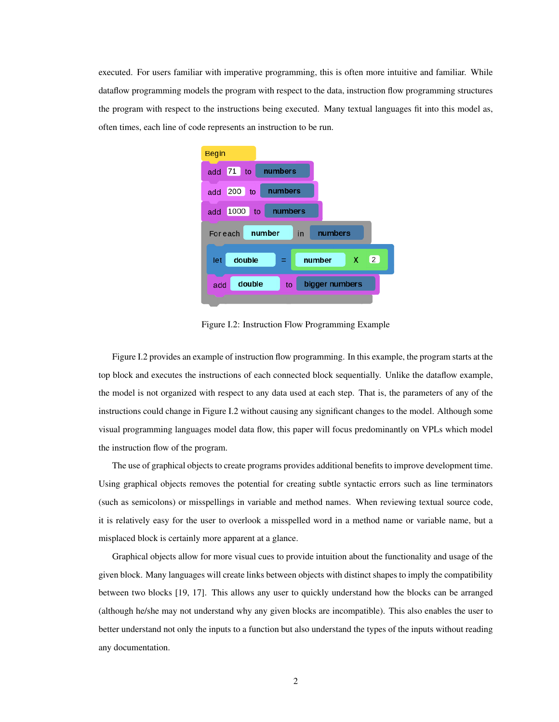<span id="page-6-0"></span>executed. For users familiar with imperative programming, this is often more intuitive and familiar. While dataflow programming models the program with respect to the data, instruction flow programming structures the program with respect to the instructions being executed. Many textual languages fit into this model as, often times, each line of code represents an instruction to be run.



Figure I.2: Instruction Flow Programming Example

Figure [I.2](#page-6-0) provides an example of instruction flow programming. In this example, the program starts at the top block and executes the instructions of each connected block sequentially. Unlike the dataflow example, the model is not organized with respect to any data used at each step. That is, the parameters of any of the instructions could change in Figure [I.2](#page-6-0) without causing any significant changes to the model. Although some visual programming languages model data flow, this paper will focus predominantly on VPLs which model the instruction flow of the program.

The use of graphical objects to create programs provides additional benefits to improve development time. Using graphical objects removes the potential for creating subtle syntactic errors such as line terminators (such as semicolons) or misspellings in variable and method names. When reviewing textual source code, it is relatively easy for the user to overlook a misspelled word in a method name or variable name, but a misplaced block is certainly more apparent at a glance.

Graphical objects allow for more visual cues to provide intuition about the functionality and usage of the given block. Many languages will create links between objects with distinct shapes to imply the compatibility between two blocks [\[19,](#page-52-2) [17\]](#page-51-5). This allows any user to quickly understand how the blocks can be arranged (although he/she may not understand why any given blocks are incompatible). This also enables the user to better understand not only the inputs to a function but also understand the types of the inputs without reading any documentation.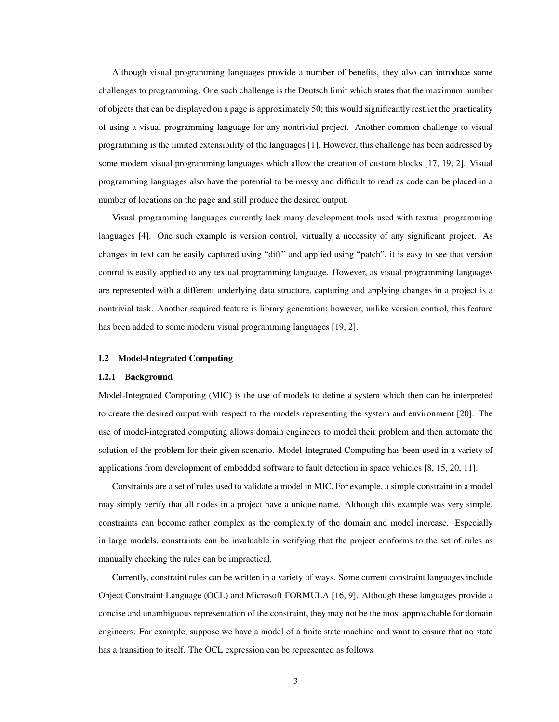Although visual programming languages provide a number of benefits, they also can introduce some challenges to programming. One such challenge is the Deutsch limit which states that the maximum number of objects that can be displayed on a page is approximately 50; this would significantly restrict the practicality of using a visual programming language for any nontrivial project. Another common challenge to visual programming is the limited extensibility of the languages [\[1\]](#page-51-6). However, this challenge has been addressed by some modern visual programming languages which allow the creation of custom blocks [\[17,](#page-51-5) [19,](#page-52-2) [2\]](#page-51-7). Visual programming languages also have the potential to be messy and difficult to read as code can be placed in a number of locations on the page and still produce the desired output.

Visual programming languages currently lack many development tools used with textual programming languages [\[4\]](#page-51-8). One such example is version control, virtually a necessity of any significant project. As changes in text can be easily captured using "diff" and applied using "patch", it is easy to see that version control is easily applied to any textual programming language. However, as visual programming languages are represented with a different underlying data structure, capturing and applying changes in a project is a nontrivial task. Another required feature is library generation; however, unlike version control, this feature has been added to some modern visual programming languages [\[19,](#page-52-2) [2\]](#page-51-7).

### <span id="page-7-1"></span><span id="page-7-0"></span>I.2 Model-Integrated Computing

#### I.2.1 Background

Model-Integrated Computing (MIC) is the use of models to define a system which then can be interpreted to create the desired output with respect to the models representing the system and environment [\[20\]](#page-52-3). The use of model-integrated computing allows domain engineers to model their problem and then automate the solution of the problem for their given scenario. Model-Integrated Computing has been used in a variety of applications from development of embedded software to fault detection in space vehicles [\[8,](#page-51-9) [15,](#page-51-10) [20,](#page-52-3) [11\]](#page-51-11).

Constraints are a set of rules used to validate a model in MIC. For example, a simple constraint in a model may simply verify that all nodes in a project have a unique name. Although this example was very simple, constraints can become rather complex as the complexity of the domain and model increase. Especially in large models, constraints can be invaluable in verifying that the project conforms to the set of rules as manually checking the rules can be impractical.

Currently, constraint rules can be written in a variety of ways. Some current constraint languages include Object Constraint Language (OCL) and Microsoft FORMULA [\[16,](#page-51-12) [9\]](#page-51-13). Although these languages provide a concise and unambiguous representation of the constraint, they may not be the most approachable for domain engineers. For example, suppose we have a model of a finite state machine and want to ensure that no state has a transition to itself. The OCL expression can be represented as follows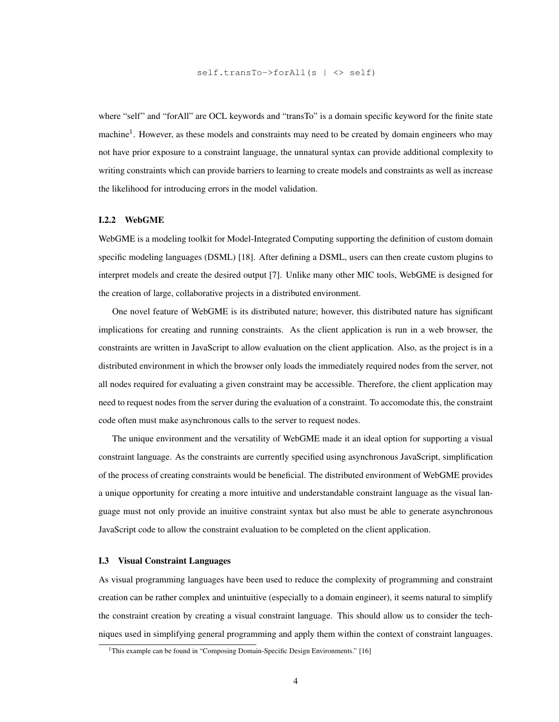where "self" and "forAll" are OCL keywords and "transTo" is a domain specific keyword for the finite state machine<sup>[1](#page-8-2)</sup>. However, as these models and constraints may need to be created by domain engineers who may not have prior exposure to a constraint language, the unnatural syntax can provide additional complexity to writing constraints which can provide barriers to learning to create models and constraints as well as increase the likelihood for introducing errors in the model validation.

## <span id="page-8-0"></span>I.2.2 WebGME

WebGME is a modeling toolkit for Model-Integrated Computing supporting the definition of custom domain specific modeling languages (DSML) [\[18\]](#page-51-14). After defining a DSML, users can then create custom plugins to interpret models and create the desired output [\[7\]](#page-51-15). Unlike many other MIC tools, WebGME is designed for the creation of large, collaborative projects in a distributed environment.

One novel feature of WebGME is its distributed nature; however, this distributed nature has significant implications for creating and running constraints. As the client application is run in a web browser, the constraints are written in JavaScript to allow evaluation on the client application. Also, as the project is in a distributed environment in which the browser only loads the immediately required nodes from the server, not all nodes required for evaluating a given constraint may be accessible. Therefore, the client application may need to request nodes from the server during the evaluation of a constraint. To accomodate this, the constraint code often must make asynchronous calls to the server to request nodes.

The unique environment and the versatility of WebGME made it an ideal option for supporting a visual constraint language. As the constraints are currently specified using asynchronous JavaScript, simplification of the process of creating constraints would be beneficial. The distributed environment of WebGME provides a unique opportunity for creating a more intuitive and understandable constraint language as the visual language must not only provide an inuitive constraint syntax but also must be able to generate asynchronous JavaScript code to allow the constraint evaluation to be completed on the client application.

## <span id="page-8-1"></span>I.3 Visual Constraint Languages

As visual programming languages have been used to reduce the complexity of programming and constraint creation can be rather complex and unintuitive (especially to a domain engineer), it seems natural to simplify the constraint creation by creating a visual constraint language. This should allow us to consider the techniques used in simplifying general programming and apply them within the context of constraint languages.

<span id="page-8-2"></span><sup>&</sup>lt;sup>1</sup>This example can be found in "Composing Domain-Specific Design Environments." [\[16\]](#page-51-12)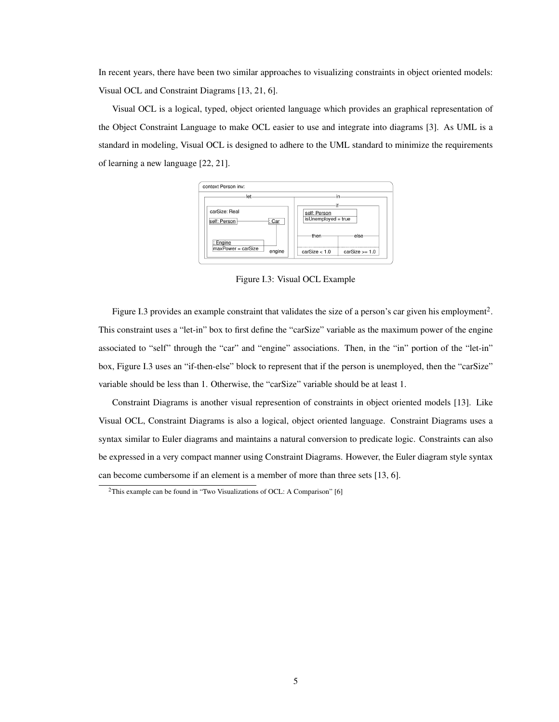In recent years, there have been two similar approaches to visualizing constraints in object oriented models: Visual OCL and Constraint Diagrams [\[13,](#page-51-16) [21,](#page-52-4) [6\]](#page-51-17).

<span id="page-9-0"></span>Visual OCL is a logical, typed, object oriented language which provides an graphical representation of the Object Constraint Language to make OCL easier to use and integrate into diagrams [\[3\]](#page-51-18). As UML is a standard in modeling, Visual OCL is designed to adhere to the UML standard to minimize the requirements of learning a new language [\[22,](#page-52-5) [21\]](#page-52-4).



Figure I.3: Visual OCL Example

Figure [I.3](#page-9-0) provides an example constraint that validates the size of a person's car given his employment<sup>[2](#page-9-1)</sup>. This constraint uses a "let-in" box to first define the "carSize" variable as the maximum power of the engine associated to "self" through the "car" and "engine" associations. Then, in the "in" portion of the "let-in" box, Figure [I.3](#page-9-0) uses an "if-then-else" block to represent that if the person is unemployed, then the "carSize" variable should be less than 1. Otherwise, the "carSize" variable should be at least 1.

Constraint Diagrams is another visual represention of constraints in object oriented models [\[13\]](#page-51-16). Like Visual OCL, Constraint Diagrams is also a logical, object oriented language. Constraint Diagrams uses a syntax similar to Euler diagrams and maintains a natural conversion to predicate logic. Constraints can also be expressed in a very compact manner using Constraint Diagrams. However, the Euler diagram style syntax can become cumbersome if an element is a member of more than three sets [\[13,](#page-51-16) [6\]](#page-51-17).

<span id="page-9-1"></span><sup>&</sup>lt;sup>2</sup>This example can be found in "Two Visualizations of OCL: A Comparison" [\[6\]](#page-51-17)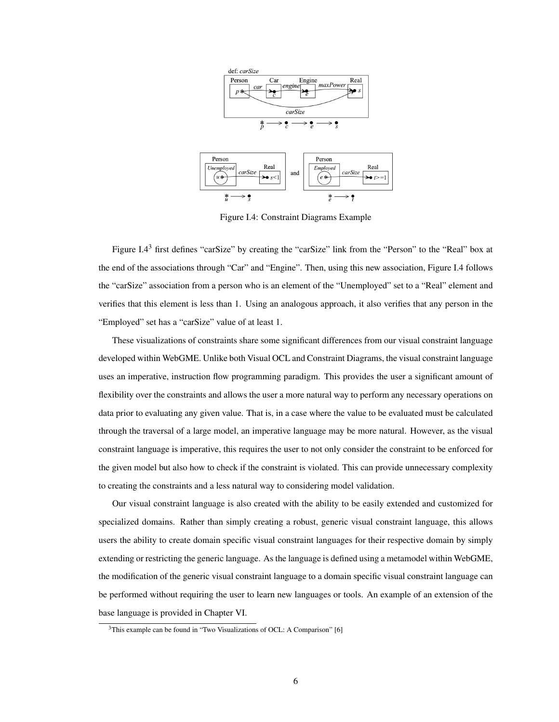<span id="page-10-0"></span>

Figure I.4: Constraint Diagrams Example

 $\frac{*}{e}$  $\rightarrow$  ?

 $\frac{*}{u} \longrightarrow \frac{\bullet}{s}$ 

Figure [I.4](#page-10-0)<sup>[3](#page-10-1)</sup> first defines "carSize" by creating the "carSize" link from the "Person" to the "Real" box at the end of the associations through "Car" and "Engine". Then, using this new association, Figure [I.4](#page-10-0) follows the "carSize" association from a person who is an element of the "Unemployed" set to a "Real" element and verifies that this element is less than 1. Using an analogous approach, it also verifies that any person in the "Employed" set has a "carSize" value of at least 1.

These visualizations of constraints share some significant differences from our visual constraint language developed within WebGME. Unlike both Visual OCL and Constraint Diagrams, the visual constraint language uses an imperative, instruction flow programming paradigm. This provides the user a significant amount of flexibility over the constraints and allows the user a more natural way to perform any necessary operations on data prior to evaluating any given value. That is, in a case where the value to be evaluated must be calculated through the traversal of a large model, an imperative language may be more natural. However, as the visual constraint language is imperative, this requires the user to not only consider the constraint to be enforced for the given model but also how to check if the constraint is violated. This can provide unnecessary complexity to creating the constraints and a less natural way to considering model validation.

Our visual constraint language is also created with the ability to be easily extended and customized for specialized domains. Rather than simply creating a robust, generic visual constraint language, this allows users the ability to create domain specific visual constraint languages for their respective domain by simply extending or restricting the generic language. As the language is defined using a metamodel within WebGME, the modification of the generic visual constraint language to a domain specific visual constraint language can be performed without requiring the user to learn new languages or tools. An example of an extension of the base language is provided in Chapter [VI.](#page-46-0)

<span id="page-10-1"></span><sup>&</sup>lt;sup>3</sup>This example can be found in "Two Visualizations of OCL: A Comparison" [\[6\]](#page-51-17)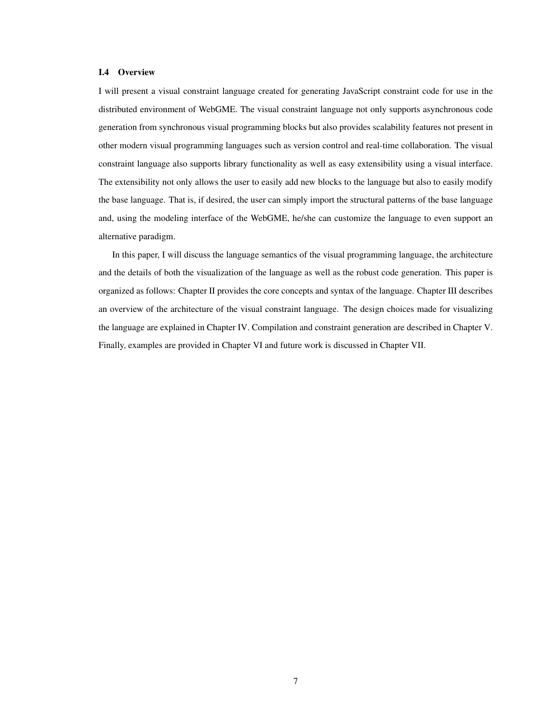## <span id="page-11-0"></span>I.4 Overview

I will present a visual constraint language created for generating JavaScript constraint code for use in the distributed environment of WebGME. The visual constraint language not only supports asynchronous code generation from synchronous visual programming blocks but also provides scalability features not present in other modern visual programming languages such as version control and real-time collaboration. The visual constraint language also supports library functionality as well as easy extensibility using a visual interface. The extensibility not only allows the user to easily add new blocks to the language but also to easily modify the base language. That is, if desired, the user can simply import the structural patterns of the base language and, using the modeling interface of the WebGME, he/she can customize the language to even support an alternative paradigm.

In this paper, I will discuss the language semantics of the visual programming language, the architecture and the details of both the visualization of the language as well as the robust code generation. This paper is organized as follows: Chapter [II](#page-12-0) provides the core concepts and syntax of the language. Chapter [III](#page-27-0) describes an overview of the architecture of the visual constraint language. The design choices made for visualizing the language are explained in Chapter [IV.](#page-31-0) Compilation and constraint generation are described in Chapter [V.](#page-37-0) Finally, examples are provided in Chapter [VI](#page-46-0) and future work is discussed in Chapter [VII.](#page-50-0)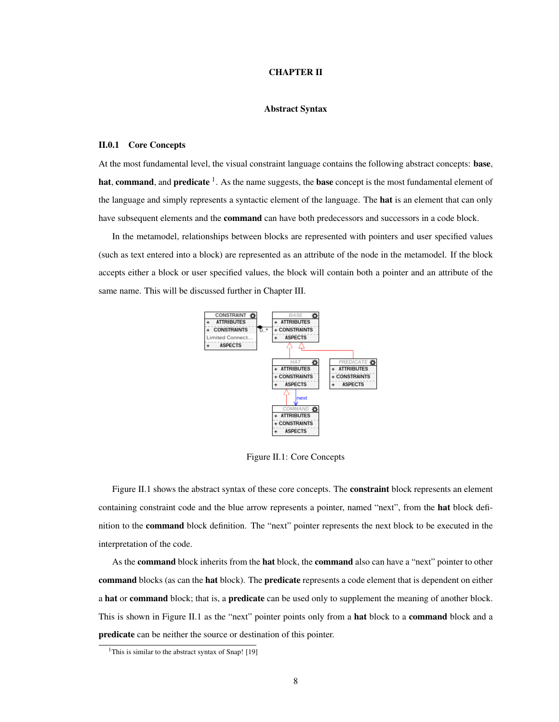### CHAPTER II

## Abstract Syntax

## <span id="page-12-1"></span><span id="page-12-0"></span>II.0.1 Core Concepts

At the most fundamental level, the visual constraint language contains the following abstract concepts: base, hat, command, and predicate  $^1$  $^1$ . As the name suggests, the base concept is the most fundamental element of the language and simply represents a syntactic element of the language. The **hat** is an element that can only have subsequent elements and the **command** can have both predecessors and successors in a code block.

<span id="page-12-2"></span>In the metamodel, relationships between blocks are represented with pointers and user specified values (such as text entered into a block) are represented as an attribute of the node in the metamodel. If the block accepts either a block or user specified values, the block will contain both a pointer and an attribute of the same name. This will be discussed further in Chapter [III.](#page-27-0)



Figure II.1: Core Concepts

Figure [II.1](#page-12-2) shows the abstract syntax of these core concepts. The **constraint** block represents an element containing constraint code and the blue arrow represents a pointer, named "next", from the **hat** block definition to the command block definition. The "next" pointer represents the next block to be executed in the interpretation of the code.

As the **command** block inherits from the **hat** block, the **command** also can have a "next" pointer to other command blocks (as can the hat block). The predicate represents a code element that is dependent on either a hat or command block; that is, a predicate can be used only to supplement the meaning of another block. This is shown in Figure [II.1](#page-12-2) as the "next" pointer points only from a hat block to a command block and a predicate can be neither the source or destination of this pointer.

<span id="page-12-3"></span><sup>&</sup>lt;sup>1</sup>This is similar to the abstract syntax of Snap!  $[19]$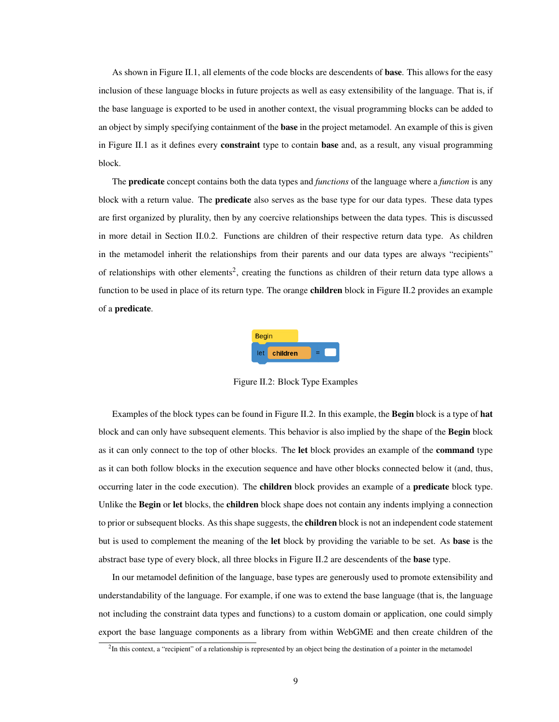As shown in Figure [II.1,](#page-12-2) all elements of the code blocks are descendents of base. This allows for the easy inclusion of these language blocks in future projects as well as easy extensibility of the language. That is, if the base language is exported to be used in another context, the visual programming blocks can be added to an object by simply specifying containment of the **base** in the project metamodel. An example of this is given in Figure [II.1](#page-12-2) as it defines every constraint type to contain base and, as a result, any visual programming block.

The predicate concept contains both the data types and *functions* of the language where a *function* is any block with a return value. The **predicate** also serves as the base type for our data types. These data types are first organized by plurality, then by any coercive relationships between the data types. This is discussed in more detail in Section [II.0.2.](#page-14-0) Functions are children of their respective return data type. As children in the metamodel inherit the relationships from their parents and our data types are always "recipients" of relationships with other elements<sup>[2](#page-13-1)</sup>, creating the functions as children of their return data type allows a function to be used in place of its return type. The orange **children** block in Figure [II.2](#page-13-0) provides an example of a predicate.



Figure II.2: Block Type Examples

<span id="page-13-0"></span>Examples of the block types can be found in Figure [II.2.](#page-13-0) In this example, the Begin block is a type of hat block and can only have subsequent elements. This behavior is also implied by the shape of the Begin block as it can only connect to the top of other blocks. The let block provides an example of the command type as it can both follow blocks in the execution sequence and have other blocks connected below it (and, thus, occurring later in the code execution). The children block provides an example of a predicate block type. Unlike the Begin or let blocks, the children block shape does not contain any indents implying a connection to prior or subsequent blocks. As this shape suggests, the **children** block is not an independent code statement but is used to complement the meaning of the let block by providing the variable to be set. As base is the abstract base type of every block, all three blocks in Figure [II.2](#page-13-0) are descendents of the **base** type.

In our metamodel definition of the language, base types are generously used to promote extensibility and understandability of the language. For example, if one was to extend the base language (that is, the language not including the constraint data types and functions) to a custom domain or application, one could simply export the base language components as a library from within WebGME and then create children of the

<span id="page-13-1"></span> ${}^{2}$ In this context, a "recipient" of a relationship is represented by an object being the destination of a pointer in the metamodel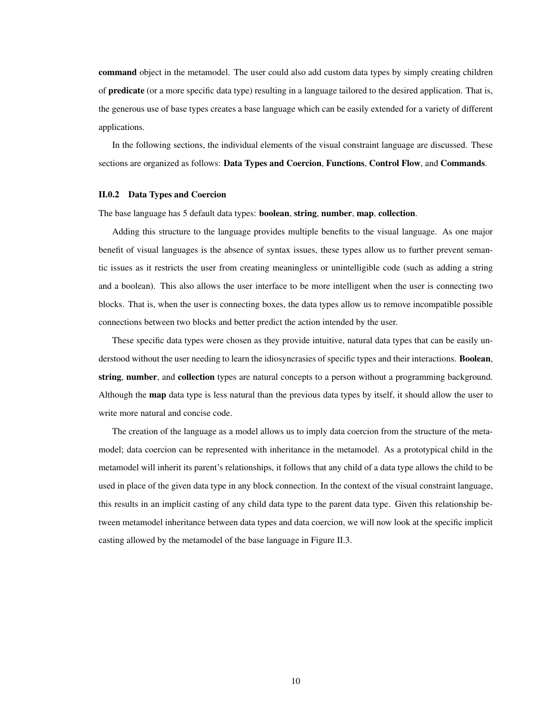command object in the metamodel. The user could also add custom data types by simply creating children of predicate (or a more specific data type) resulting in a language tailored to the desired application. That is, the generous use of base types creates a base language which can be easily extended for a variety of different applications.

In the following sections, the individual elements of the visual constraint language are discussed. These sections are organized as follows: Data Types and Coercion, Functions, Control Flow, and Commands.

### <span id="page-14-0"></span>II.0.2 Data Types and Coercion

The base language has 5 default data types: boolean, string, number, map, collection.

Adding this structure to the language provides multiple benefits to the visual language. As one major benefit of visual languages is the absence of syntax issues, these types allow us to further prevent semantic issues as it restricts the user from creating meaningless or unintelligible code (such as adding a string and a boolean). This also allows the user interface to be more intelligent when the user is connecting two blocks. That is, when the user is connecting boxes, the data types allow us to remove incompatible possible connections between two blocks and better predict the action intended by the user.

These specific data types were chosen as they provide intuitive, natural data types that can be easily understood without the user needing to learn the idiosyncrasies of specific types and their interactions. **Boolean**, string, number, and collection types are natural concepts to a person without a programming background. Although the map data type is less natural than the previous data types by itself, it should allow the user to write more natural and concise code.

The creation of the language as a model allows us to imply data coercion from the structure of the metamodel; data coercion can be represented with inheritance in the metamodel. As a prototypical child in the metamodel will inherit its parent's relationships, it follows that any child of a data type allows the child to be used in place of the given data type in any block connection. In the context of the visual constraint language, this results in an implicit casting of any child data type to the parent data type. Given this relationship between metamodel inheritance between data types and data coercion, we will now look at the specific implicit casting allowed by the metamodel of the base language in Figure [II.3.](#page-15-0)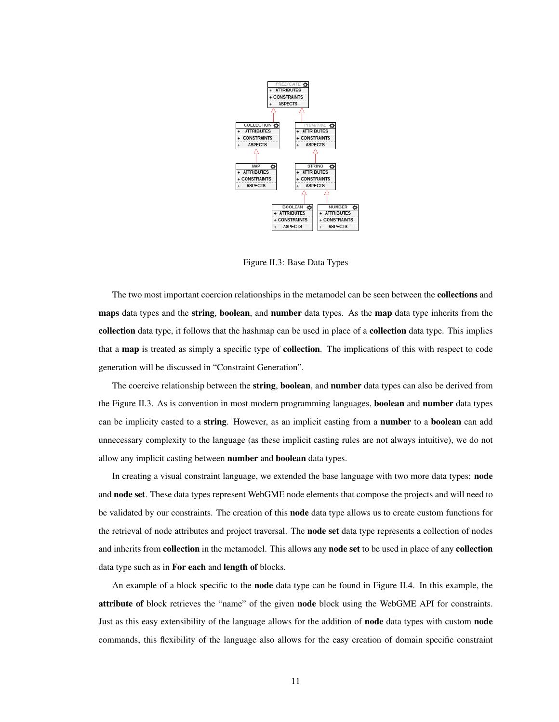<span id="page-15-0"></span>

Figure II.3: Base Data Types

The two most important coercion relationships in the metamodel can be seen between the collections and maps data types and the string, boolean, and number data types. As the map data type inherits from the collection data type, it follows that the hashmap can be used in place of a collection data type. This implies that a map is treated as simply a specific type of collection. The implications of this with respect to code generation will be discussed in "Constraint Generation".

The coercive relationship between the string, boolean, and number data types can also be derived from the Figure [II.3.](#page-15-0) As is convention in most modern programming languages, **boolean** and **number** data types can be implicity casted to a **string**. However, as an implicit casting from a **number** to a **boolean** can add unnecessary complexity to the language (as these implicit casting rules are not always intuitive), we do not allow any implicit casting between number and boolean data types.

In creating a visual constraint language, we extended the base language with two more data types: node and node set. These data types represent WebGME node elements that compose the projects and will need to be validated by our constraints. The creation of this **node** data type allows us to create custom functions for the retrieval of node attributes and project traversal. The node set data type represents a collection of nodes and inherits from **collection** in the metamodel. This allows any **node set** to be used in place of any **collection** data type such as in For each and length of blocks.

An example of a block specific to the **node** data type can be found in Figure [II.4.](#page-16-0) In this example, the attribute of block retrieves the "name" of the given node block using the WebGME API for constraints. Just as this easy extensibility of the language allows for the addition of node data types with custom node commands, this flexibility of the language also allows for the easy creation of domain specific constraint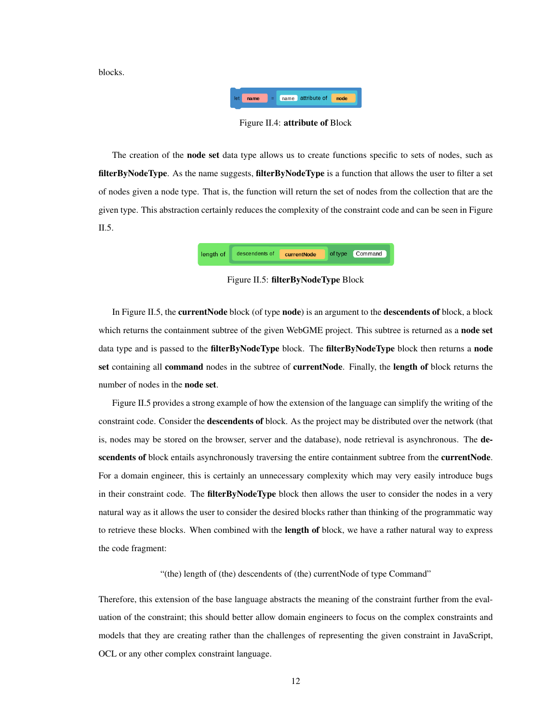<span id="page-16-0"></span>blocks.



Figure II.4: attribute of Block

The creation of the node set data type allows us to create functions specific to sets of nodes, such as filterByNodeType. As the name suggests, filterByNodeType is a function that allows the user to filter a set of nodes given a node type. That is, the function will return the set of nodes from the collection that are the given type. This abstraction certainly reduces the complexity of the constraint code and can be seen in Figure [II.5.](#page-16-1)



Figure II.5: filterByNodeType Block

<span id="page-16-1"></span>In Figure [II.5,](#page-16-1) the **currentNode** block (of type **node**) is an argument to the **descendents of** block, a block which returns the containment subtree of the given WebGME project. This subtree is returned as a node set data type and is passed to the **filterByNodeType** block. The **filterByNodeType** block then returns a **node** set containing all command nodes in the subtree of currentNode. Finally, the length of block returns the number of nodes in the node set.

Figure [II.5](#page-16-1) provides a strong example of how the extension of the language can simplify the writing of the constraint code. Consider the descendents of block. As the project may be distributed over the network (that is, nodes may be stored on the browser, server and the database), node retrieval is asynchronous. The descendents of block entails asynchronously traversing the entire containment subtree from the currentNode. For a domain engineer, this is certainly an unnecessary complexity which may very easily introduce bugs in their constraint code. The **filterByNodeType** block then allows the user to consider the nodes in a very natural way as it allows the user to consider the desired blocks rather than thinking of the programmatic way to retrieve these blocks. When combined with the **length of** block, we have a rather natural way to express the code fragment:

"(the) length of (the) descendents of (the) currentNode of type Command"

Therefore, this extension of the base language abstracts the meaning of the constraint further from the evaluation of the constraint; this should better allow domain engineers to focus on the complex constraints and models that they are creating rather than the challenges of representing the given constraint in JavaScript, OCL or any other complex constraint language.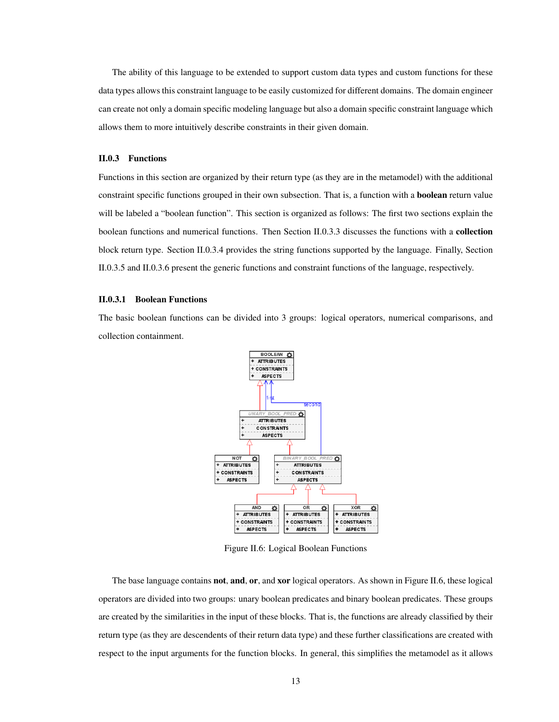The ability of this language to be extended to support custom data types and custom functions for these data types allows this constraint language to be easily customized for different domains. The domain engineer can create not only a domain specific modeling language but also a domain specific constraint language which allows them to more intuitively describe constraints in their given domain.

#### <span id="page-17-0"></span>II.0.3 Functions

Functions in this section are organized by their return type (as they are in the metamodel) with the additional constraint specific functions grouped in their own subsection. That is, a function with a boolean return value will be labeled a "boolean function". This section is organized as follows: The first two sections explain the boolean functions and numerical functions. Then Section [II.0.3.3](#page-19-1) discusses the functions with a collection block return type. Section [II.0.3.4](#page-20-0) provides the string functions supported by the language. Finally, Section [II.0.3.5](#page-20-1) and [II.0.3.6](#page-21-0) present the generic functions and constraint functions of the language, respectively.

### <span id="page-17-1"></span>II.0.3.1 Boolean Functions

<span id="page-17-2"></span>The basic boolean functions can be divided into 3 groups: logical operators, numerical comparisons, and collection containment.



Figure II.6: Logical Boolean Functions

The base language contains **not, and, or,** and **xor** logical operators. As shown in Figure [II.6,](#page-17-2) these logical operators are divided into two groups: unary boolean predicates and binary boolean predicates. These groups are created by the similarities in the input of these blocks. That is, the functions are already classified by their return type (as they are descendents of their return data type) and these further classifications are created with respect to the input arguments for the function blocks. In general, this simplifies the metamodel as it allows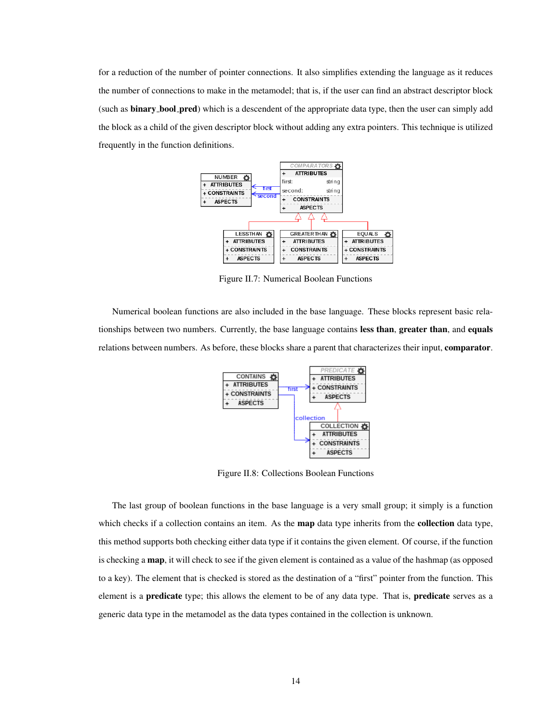<span id="page-18-0"></span>for a reduction of the number of pointer connections. It also simplifies extending the language as it reduces the number of connections to make in the metamodel; that is, if the user can find an abstract descriptor block (such as **binary\_bool\_pred**) which is a descendent of the appropriate data type, then the user can simply add the block as a child of the given descriptor block without adding any extra pointers. This technique is utilized frequently in the function definitions.



Figure II.7: Numerical Boolean Functions

<span id="page-18-1"></span>Numerical boolean functions are also included in the base language. These blocks represent basic relationships between two numbers. Currently, the base language contains less than, greater than, and equals relations between numbers. As before, these blocks share a parent that characterizes their input, comparator.



Figure II.8: Collections Boolean Functions

The last group of boolean functions in the base language is a very small group; it simply is a function which checks if a collection contains an item. As the **map** data type inherits from the **collection** data type, this method supports both checking either data type if it contains the given element. Of course, if the function is checking a map, it will check to see if the given element is contained as a value of the hashmap (as opposed to a key). The element that is checked is stored as the destination of a "first" pointer from the function. This element is a **predicate** type; this allows the element to be of any data type. That is, **predicate** serves as a generic data type in the metamodel as the data types contained in the collection is unknown.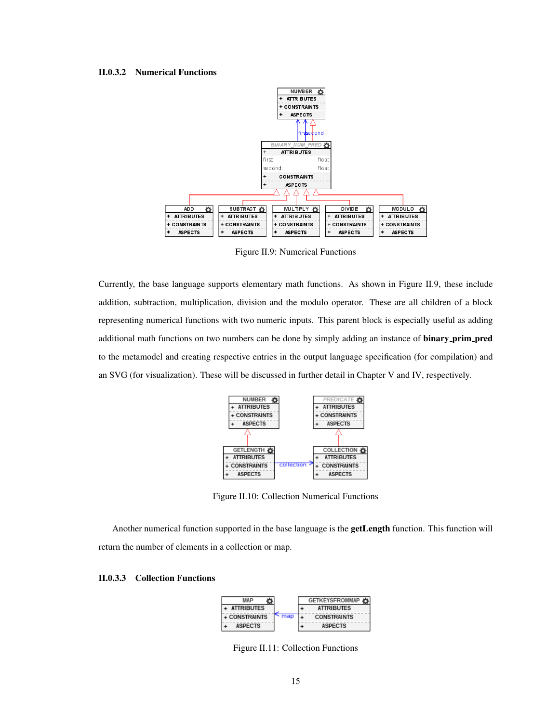#### <span id="page-19-2"></span><span id="page-19-0"></span>II.0.3.2 Numerical Functions



Figure II.9: Numerical Functions

<span id="page-19-3"></span>Currently, the base language supports elementary math functions. As shown in Figure [II.9,](#page-19-2) these include addition, subtraction, multiplication, division and the modulo operator. These are all children of a block representing numerical functions with two numeric inputs. This parent block is especially useful as adding additional math functions on two numbers can be done by simply adding an instance of **binary** prim pred to the metamodel and creating respective entries in the output language specification (for compilation) and an SVG (for visualization). These will be discussed in further detail in Chapter [V](#page-37-0) and [IV,](#page-31-0) respectively.



Figure II.10: Collection Numerical Functions

Another numerical function supported in the base language is the getLength function. This function will return the number of elements in a collection or map.

## <span id="page-19-4"></span><span id="page-19-1"></span>II.0.3.3 Collection Functions



Figure II.11: Collection Functions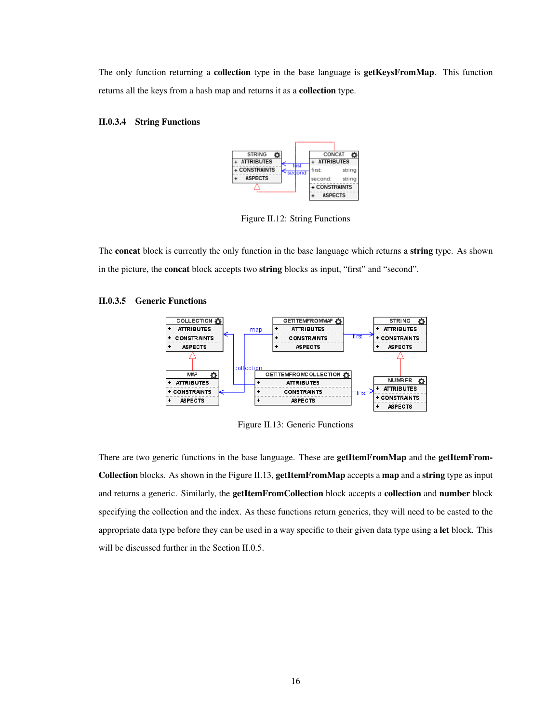The only function returning a **collection** type in the base language is **getKeysFromMap**. This function returns all the keys from a hash map and returns it as a collection type.

## <span id="page-20-2"></span><span id="page-20-0"></span>II.0.3.4 String Functions



Figure II.12: String Functions

The concat block is currently the only function in the base language which returns a string type. As shown in the picture, the concat block accepts two string blocks as input, "first" and "second".

## <span id="page-20-3"></span><span id="page-20-1"></span>II.0.3.5 Generic Functions



Figure II.13: Generic Functions

There are two generic functions in the base language. These are **getItemFromMap** and the **getItemFrom-**Collection blocks. As shown in the Figure [II.13,](#page-20-3) getItemFromMap accepts a map and a string type as input and returns a generic. Similarly, the getItemFromCollection block accepts a collection and number block specifying the collection and the index. As these functions return generics, they will need to be casted to the appropriate data type before they can be used in a way specific to their given data type using a let block. This will be discussed further in the Section [II.0.5.](#page-24-0)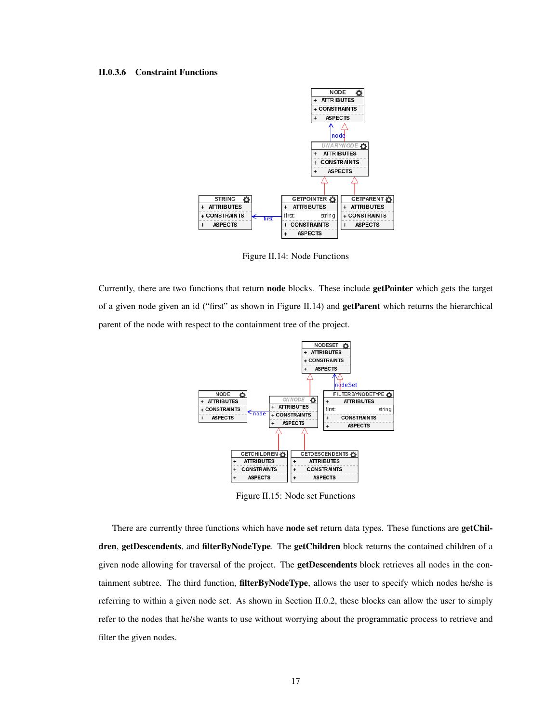### <span id="page-21-1"></span><span id="page-21-0"></span>II.0.3.6 Constraint Functions



Figure II.14: Node Functions

<span id="page-21-2"></span>Currently, there are two functions that return node blocks. These include getPointer which gets the target of a given node given an id ("first" as shown in Figure [II.14\)](#page-21-1) and getParent which returns the hierarchical parent of the node with respect to the containment tree of the project.



Figure II.15: Node set Functions

There are currently three functions which have **node set** return data types. These functions are **getChil**dren, getDescendents, and filterByNodeType. The getChildren block returns the contained children of a given node allowing for traversal of the project. The **getDescendents** block retrieves all nodes in the containment subtree. The third function, filterByNodeType, allows the user to specify which nodes he/she is referring to within a given node set. As shown in Section [II.0.2,](#page-16-1) these blocks can allow the user to simply refer to the nodes that he/she wants to use without worrying about the programmatic process to retrieve and filter the given nodes.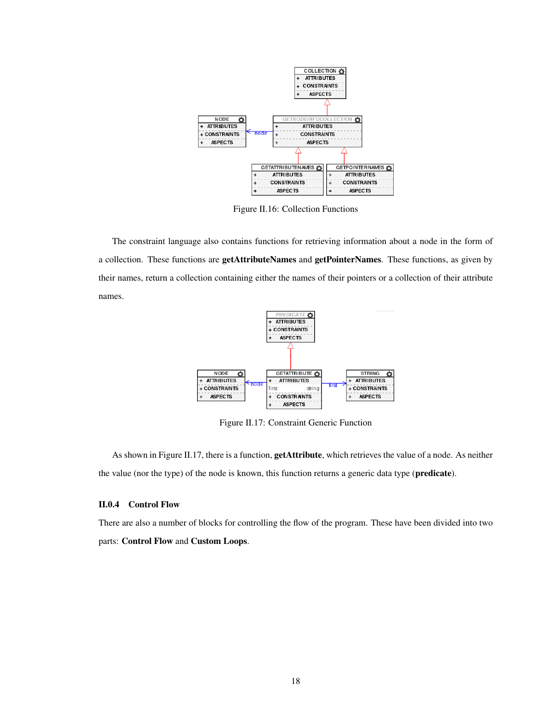<span id="page-22-1"></span>

Figure II.16: Collection Functions

<span id="page-22-2"></span>The constraint language also contains functions for retrieving information about a node in the form of a collection. These functions are getAttributeNames and getPointerNames. These functions, as given by their names, return a collection containing either the names of their pointers or a collection of their attribute names.



Figure II.17: Constraint Generic Function

As shown in Figure [II.17,](#page-22-2) there is a function, **getAttribute**, which retrieves the value of a node. As neither the value (nor the type) of the node is known, this function returns a generic data type (predicate).

## <span id="page-22-0"></span>II.0.4 Control Flow

There are also a number of blocks for controlling the flow of the program. These have been divided into two parts: Control Flow and Custom Loops.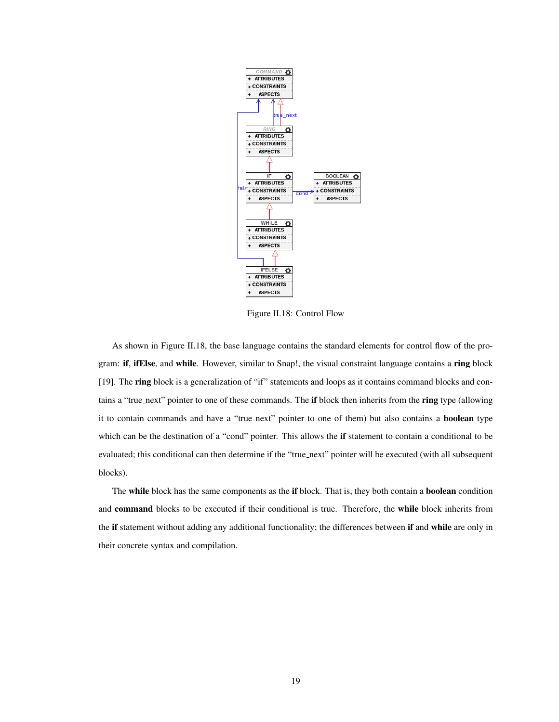<span id="page-23-0"></span>

Figure II.18: Control Flow

As shown in Figure [II.18,](#page-23-0) the base language contains the standard elements for control flow of the program: if, ifElse, and while. However, similar to Snap!, the visual constraint language contains a ring block [\[19\]](#page-52-2). The ring block is a generalization of "if" statements and loops as it contains command blocks and contains a "true next" pointer to one of these commands. The if block then inherits from the ring type (allowing it to contain commands and have a "true\_next" pointer to one of them) but also contains a **boolean** type which can be the destination of a "cond" pointer. This allows the if statement to contain a conditional to be evaluated; this conditional can then determine if the "true next" pointer will be executed (with all subsequent blocks).

The while block has the same components as the if block. That is, they both contain a boolean condition and command blocks to be executed if their conditional is true. Therefore, the while block inherits from the if statement without adding any additional functionality; the differences between if and while are only in their concrete syntax and compilation.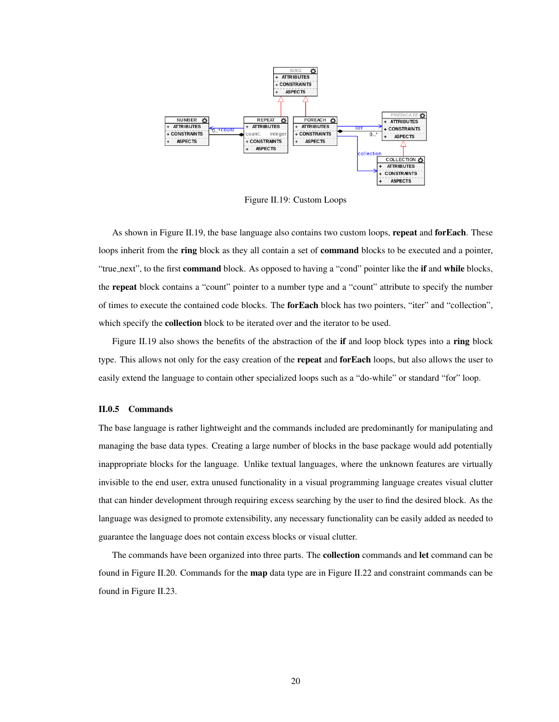<span id="page-24-1"></span>

Figure II.19: Custom Loops

As shown in Figure [II.19,](#page-24-1) the base language also contains two custom loops, repeat and for Each. These loops inherit from the ring block as they all contain a set of command blocks to be executed and a pointer, "true\_next", to the first command block. As opposed to having a "cond" pointer like the if and while blocks, the repeat block contains a "count" pointer to a number type and a "count" attribute to specify the number of times to execute the contained code blocks. The forEach block has two pointers, "iter" and "collection", which specify the collection block to be iterated over and the iterator to be used.

Figure [II.19](#page-24-1) also shows the benefits of the abstraction of the if and loop block types into a ring block type. This allows not only for the easy creation of the repeat and for Each loops, but also allows the user to easily extend the language to contain other specialized loops such as a "do-while" or standard "for" loop.

## <span id="page-24-0"></span>II.0.5 Commands

The base language is rather lightweight and the commands included are predominantly for manipulating and managing the base data types. Creating a large number of blocks in the base package would add potentially inappropriate blocks for the language. Unlike textual languages, where the unknown features are virtually invisible to the end user, extra unused functionality in a visual programming language creates visual clutter that can hinder development through requiring excess searching by the user to find the desired block. As the language was designed to promote extensibility, any necessary functionality can be easily added as needed to guarantee the language does not contain excess blocks or visual clutter.

The commands have been organized into three parts. The **collection** commands and let command can be found in Figure [II.20.](#page-25-0) Commands for the map data type are in Figure [II.22](#page-26-0) and constraint commands can be found in Figure [II.23.](#page-26-1)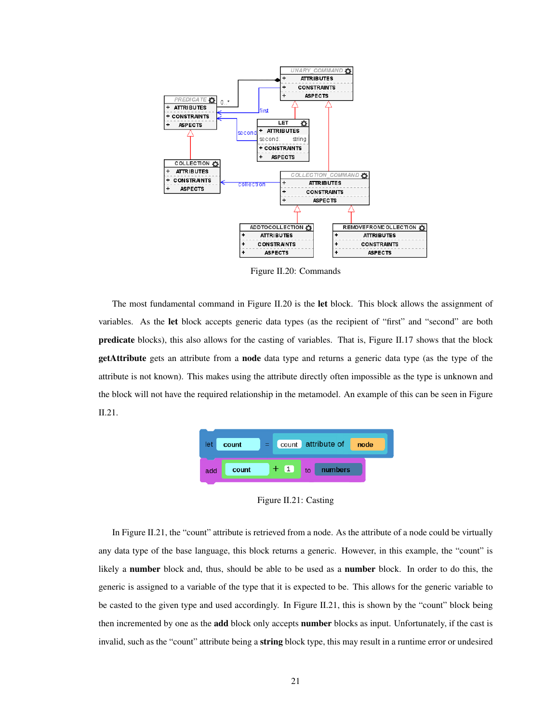<span id="page-25-0"></span>

Figure II.20: Commands

The most fundamental command in Figure [II.20](#page-25-0) is the let block. This block allows the assignment of variables. As the let block accepts generic data types (as the recipient of "first" and "second" are both predicate blocks), this also allows for the casting of variables. That is, Figure [II.17](#page-22-2) shows that the block getAttribute gets an attribute from a node data type and returns a generic data type (as the type of the attribute is not known). This makes using the attribute directly often impossible as the type is unknown and the block will not have the required relationship in the metamodel. An example of this can be seen in Figure [II.21.](#page-25-1)

<span id="page-25-1"></span>

Figure II.21: Casting

In Figure [II.21,](#page-25-1) the "count" attribute is retrieved from a node. As the attribute of a node could be virtually any data type of the base language, this block returns a generic. However, in this example, the "count" is likely a number block and, thus, should be able to be used as a number block. In order to do this, the generic is assigned to a variable of the type that it is expected to be. This allows for the generic variable to be casted to the given type and used accordingly. In Figure [II.21,](#page-25-1) this is shown by the "count" block being then incremented by one as the **add** block only accepts **number** blocks as input. Unfortunately, if the cast is invalid, such as the "count" attribute being a string block type, this may result in a runtime error or undesired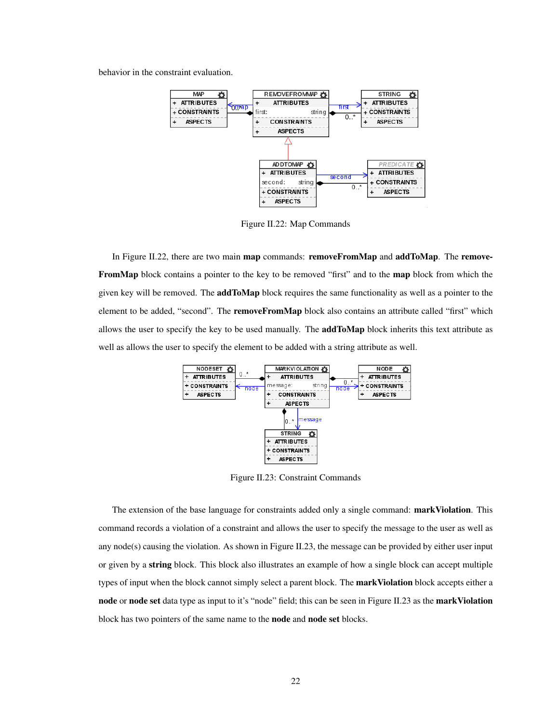<span id="page-26-0"></span>behavior in the constraint evaluation.



Figure II.22: Map Commands

In Figure [II.22,](#page-26-0) there are two main **map** commands: **removeFromMap** and **addToMap**. The **remove-**FromMap block contains a pointer to the key to be removed "first" and to the map block from which the given key will be removed. The **addToMap** block requires the same functionality as well as a pointer to the element to be added, "second". The removeFromMap block also contains an attribute called "first" which allows the user to specify the key to be used manually. The **addToMap** block inherits this text attribute as well as allows the user to specify the element to be added with a string attribute as well.

<span id="page-26-1"></span>

Figure II.23: Constraint Commands

The extension of the base language for constraints added only a single command: **markViolation**. This command records a violation of a constraint and allows the user to specify the message to the user as well as any node(s) causing the violation. As shown in Figure [II.23,](#page-26-1) the message can be provided by either user input or given by a string block. This block also illustrates an example of how a single block can accept multiple types of input when the block cannot simply select a parent block. The markViolation block accepts either a node or node set data type as input to it's "node" field; this can be seen in Figure [II.23](#page-26-1) as the markViolation block has two pointers of the same name to the node and node set blocks.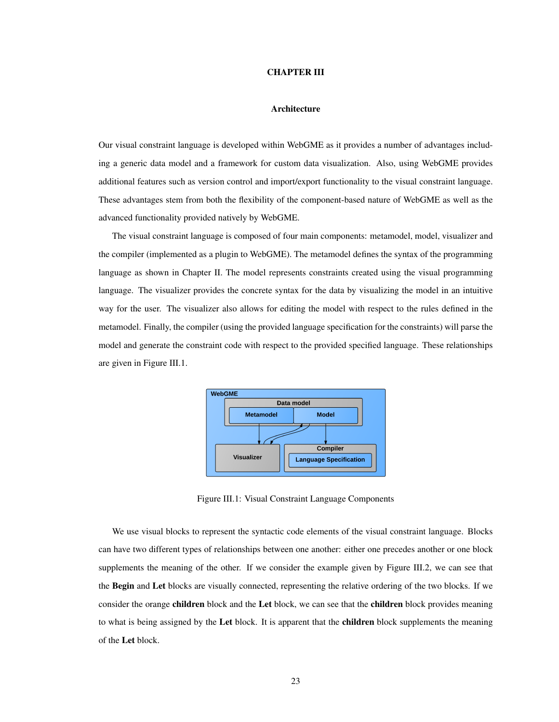#### CHAPTER III

## Architecture

<span id="page-27-0"></span>Our visual constraint language is developed within WebGME as it provides a number of advantages including a generic data model and a framework for custom data visualization. Also, using WebGME provides additional features such as version control and import/export functionality to the visual constraint language. These advantages stem from both the flexibility of the component-based nature of WebGME as well as the advanced functionality provided natively by WebGME.

The visual constraint language is composed of four main components: metamodel, model, visualizer and the compiler (implemented as a plugin to WebGME). The metamodel defines the syntax of the programming language as shown in Chapter [II.](#page-12-0) The model represents constraints created using the visual programming language. The visualizer provides the concrete syntax for the data by visualizing the model in an intuitive way for the user. The visualizer also allows for editing the model with respect to the rules defined in the metamodel. Finally, the compiler (using the provided language specification for the constraints) will parse the model and generate the constraint code with respect to the provided specified language. These relationships are given in Figure [III.1.](#page-27-1)

<span id="page-27-1"></span>

Figure III.1: Visual Constraint Language Components

We use visual blocks to represent the syntactic code elements of the visual constraint language. Blocks can have two different types of relationships between one another: either one precedes another or one block supplements the meaning of the other. If we consider the example given by Figure [III.2,](#page-28-0) we can see that the Begin and Let blocks are visually connected, representing the relative ordering of the two blocks. If we consider the orange **children** block and the Let block, we can see that the **children** block provides meaning to what is being assigned by the Let block. It is apparent that the children block supplements the meaning of the Let block.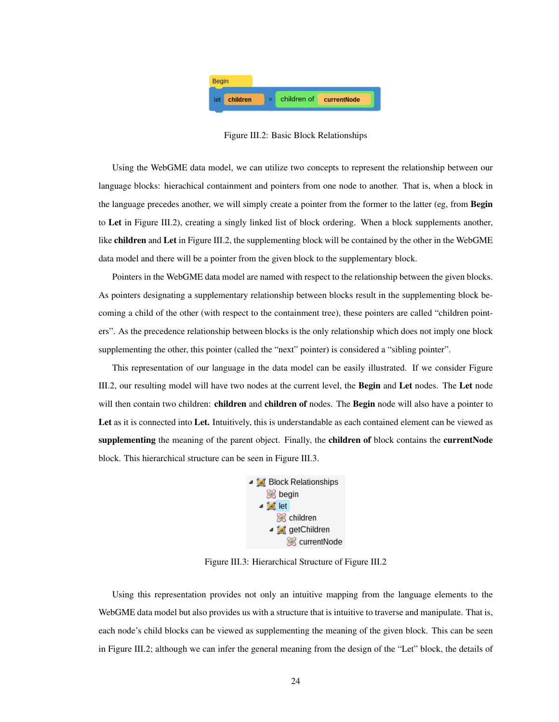<span id="page-28-0"></span>

Figure III.2: Basic Block Relationships

Using the WebGME data model, we can utilize two concepts to represent the relationship between our language blocks: hierachical containment and pointers from one node to another. That is, when a block in the language precedes another, we will simply create a pointer from the former to the latter (eg, from Begin to Let in Figure [III.2\)](#page-28-0), creating a singly linked list of block ordering. When a block supplements another, like children and Let in Figure [III.2,](#page-28-0) the supplementing block will be contained by the other in the WebGME data model and there will be a pointer from the given block to the supplementary block.

Pointers in the WebGME data model are named with respect to the relationship between the given blocks. As pointers designating a supplementary relationship between blocks result in the supplementing block becoming a child of the other (with respect to the containment tree), these pointers are called "children pointers". As the precedence relationship between blocks is the only relationship which does not imply one block supplementing the other, this pointer (called the "next" pointer) is considered a "sibling pointer".

<span id="page-28-1"></span>This representation of our language in the data model can be easily illustrated. If we consider Figure [III.2,](#page-28-0) our resulting model will have two nodes at the current level, the Begin and Let nodes. The Let node will then contain two children: **children** and **children of** nodes. The **Begin** node will also have a pointer to Let as it is connected into Let. Intuitively, this is understandable as each contained element can be viewed as supplementing the meaning of the parent object. Finally, the children of block contains the currentNode block. This hierarchical structure can be seen in Figure [III.3.](#page-28-1)



Figure III.3: Hierarchical Structure of Figure [III.2](#page-28-0)

Using this representation provides not only an intuitive mapping from the language elements to the WebGME data model but also provides us with a structure that is intuitive to traverse and manipulate. That is, each node's child blocks can be viewed as supplementing the meaning of the given block. This can be seen in Figure [III.2;](#page-28-0) although we can infer the general meaning from the design of the "Let" block, the details of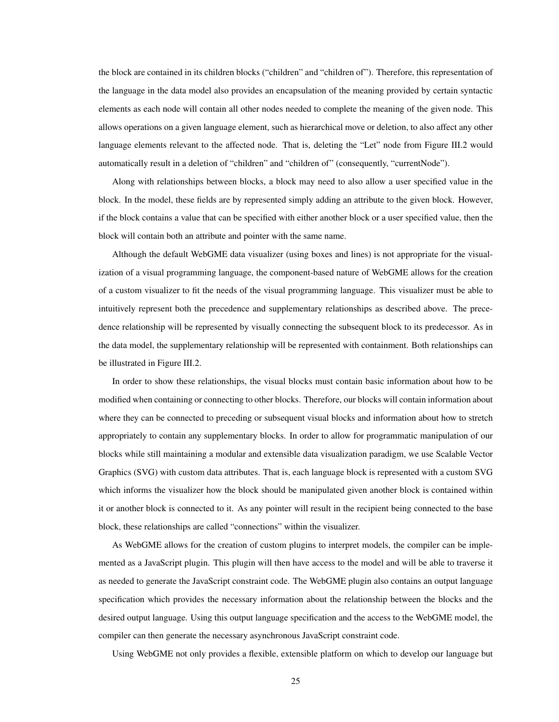the block are contained in its children blocks ("children" and "children of"). Therefore, this representation of the language in the data model also provides an encapsulation of the meaning provided by certain syntactic elements as each node will contain all other nodes needed to complete the meaning of the given node. This allows operations on a given language element, such as hierarchical move or deletion, to also affect any other language elements relevant to the affected node. That is, deleting the "Let" node from Figure [III.2](#page-28-0) would automatically result in a deletion of "children" and "children of" (consequently, "currentNode").

Along with relationships between blocks, a block may need to also allow a user specified value in the block. In the model, these fields are by represented simply adding an attribute to the given block. However, if the block contains a value that can be specified with either another block or a user specified value, then the block will contain both an attribute and pointer with the same name.

Although the default WebGME data visualizer (using boxes and lines) is not appropriate for the visualization of a visual programming language, the component-based nature of WebGME allows for the creation of a custom visualizer to fit the needs of the visual programming language. This visualizer must be able to intuitively represent both the precedence and supplementary relationships as described above. The precedence relationship will be represented by visually connecting the subsequent block to its predecessor. As in the data model, the supplementary relationship will be represented with containment. Both relationships can be illustrated in Figure [III.2.](#page-28-0)

In order to show these relationships, the visual blocks must contain basic information about how to be modified when containing or connecting to other blocks. Therefore, our blocks will contain information about where they can be connected to preceding or subsequent visual blocks and information about how to stretch appropriately to contain any supplementary blocks. In order to allow for programmatic manipulation of our blocks while still maintaining a modular and extensible data visualization paradigm, we use Scalable Vector Graphics (SVG) with custom data attributes. That is, each language block is represented with a custom SVG which informs the visualizer how the block should be manipulated given another block is contained within it or another block is connected to it. As any pointer will result in the recipient being connected to the base block, these relationships are called "connections" within the visualizer.

As WebGME allows for the creation of custom plugins to interpret models, the compiler can be implemented as a JavaScript plugin. This plugin will then have access to the model and will be able to traverse it as needed to generate the JavaScript constraint code. The WebGME plugin also contains an output language specification which provides the necessary information about the relationship between the blocks and the desired output language. Using this output language specification and the access to the WebGME model, the compiler can then generate the necessary asynchronous JavaScript constraint code.

Using WebGME not only provides a flexible, extensible platform on which to develop our language but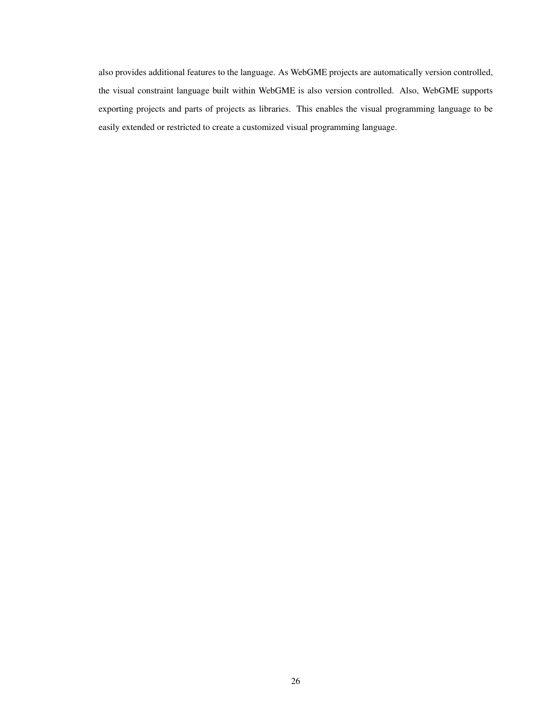also provides additional features to the language. As WebGME projects are automatically version controlled, the visual constraint language built within WebGME is also version controlled. Also, WebGME supports exporting projects and parts of projects as libraries. This enables the visual programming language to be easily extended or restricted to create a customized visual programming language.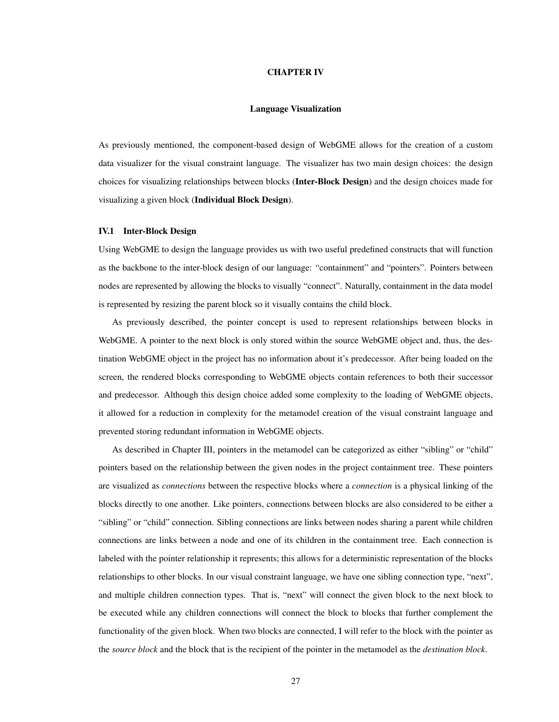#### CHAPTER IV

## Language Visualization

<span id="page-31-0"></span>As previously mentioned, the component-based design of WebGME allows for the creation of a custom data visualizer for the visual constraint language. The visualizer has two main design choices: the design choices for visualizing relationships between blocks (Inter-Block Design) and the design choices made for visualizing a given block (Individual Block Design).

### <span id="page-31-1"></span>IV.1 Inter-Block Design

Using WebGME to design the language provides us with two useful predefined constructs that will function as the backbone to the inter-block design of our language: "containment" and "pointers". Pointers between nodes are represented by allowing the blocks to visually "connect". Naturally, containment in the data model is represented by resizing the parent block so it visually contains the child block.

As previously described, the pointer concept is used to represent relationships between blocks in WebGME. A pointer to the next block is only stored within the source WebGME object and, thus, the destination WebGME object in the project has no information about it's predecessor. After being loaded on the screen, the rendered blocks corresponding to WebGME objects contain references to both their successor and predecessor. Although this design choice added some complexity to the loading of WebGME objects, it allowed for a reduction in complexity for the metamodel creation of the visual constraint language and prevented storing redundant information in WebGME objects.

As described in Chapter [III,](#page-27-0) pointers in the metamodel can be categorized as either "sibling" or "child" pointers based on the relationship between the given nodes in the project containment tree. These pointers are visualized as *connections* between the respective blocks where a *connection* is a physical linking of the blocks directly to one another. Like pointers, connections between blocks are also considered to be either a "sibling" or "child" connection. Sibling connections are links between nodes sharing a parent while children connections are links between a node and one of its children in the containment tree. Each connection is labeled with the pointer relationship it represents; this allows for a deterministic representation of the blocks relationships to other blocks. In our visual constraint language, we have one sibling connection type, "next", and multiple children connection types. That is, "next" will connect the given block to the next block to be executed while any children connections will connect the block to blocks that further complement the functionality of the given block. When two blocks are connected, I will refer to the block with the pointer as the *source block* and the block that is the recipient of the pointer in the metamodel as the *destination block*.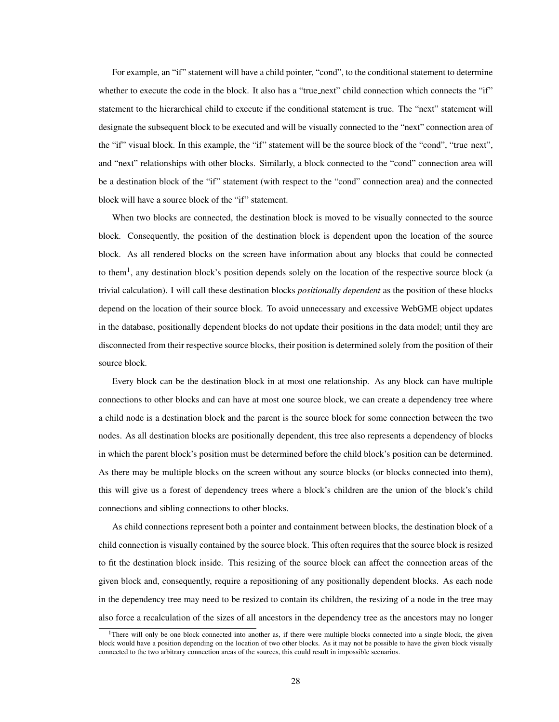For example, an "if" statement will have a child pointer, "cond", to the conditional statement to determine whether to execute the code in the block. It also has a "true\_next" child connection which connects the "if" statement to the hierarchical child to execute if the conditional statement is true. The "next" statement will designate the subsequent block to be executed and will be visually connected to the "next" connection area of the "if" visual block. In this example, the "if" statement will be the source block of the "cond", "true next", and "next" relationships with other blocks. Similarly, a block connected to the "cond" connection area will be a destination block of the "if" statement (with respect to the "cond" connection area) and the connected block will have a source block of the "if" statement.

When two blocks are connected, the destination block is moved to be visually connected to the source block. Consequently, the position of the destination block is dependent upon the location of the source block. As all rendered blocks on the screen have information about any blocks that could be connected to them<sup>[1](#page-32-0)</sup>, any destination block's position depends solely on the location of the respective source block (a trivial calculation). I will call these destination blocks *positionally dependent* as the position of these blocks depend on the location of their source block. To avoid unnecessary and excessive WebGME object updates in the database, positionally dependent blocks do not update their positions in the data model; until they are disconnected from their respective source blocks, their position is determined solely from the position of their source block.

Every block can be the destination block in at most one relationship. As any block can have multiple connections to other blocks and can have at most one source block, we can create a dependency tree where a child node is a destination block and the parent is the source block for some connection between the two nodes. As all destination blocks are positionally dependent, this tree also represents a dependency of blocks in which the parent block's position must be determined before the child block's position can be determined. As there may be multiple blocks on the screen without any source blocks (or blocks connected into them), this will give us a forest of dependency trees where a block's children are the union of the block's child connections and sibling connections to other blocks.

As child connections represent both a pointer and containment between blocks, the destination block of a child connection is visually contained by the source block. This often requires that the source block is resized to fit the destination block inside. This resizing of the source block can affect the connection areas of the given block and, consequently, require a repositioning of any positionally dependent blocks. As each node in the dependency tree may need to be resized to contain its children, the resizing of a node in the tree may also force a recalculation of the sizes of all ancestors in the dependency tree as the ancestors may no longer

<span id="page-32-0"></span><sup>&</sup>lt;sup>1</sup>There will only be one block connected into another as, if there were multiple blocks connected into a single block, the given block would have a position depending on the location of two other blocks. As it may not be possible to have the given block visually connected to the two arbitrary connection areas of the sources, this could result in impossible scenarios.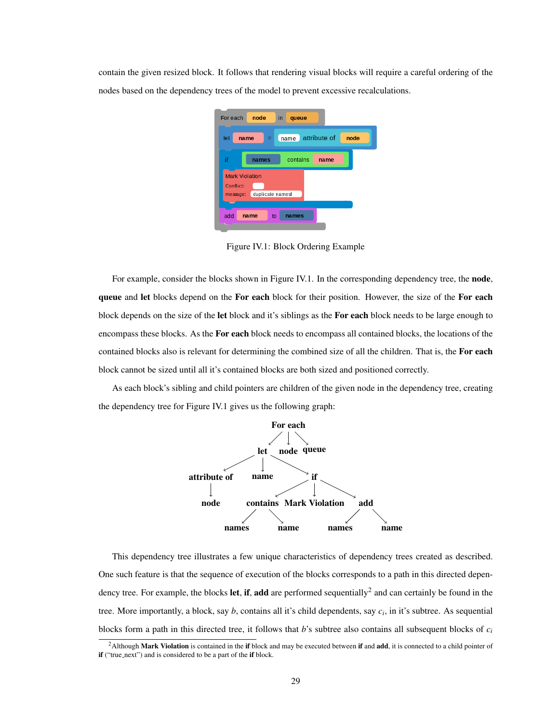<span id="page-33-0"></span>contain the given resized block. It follows that rendering visual blocks will require a careful ordering of the nodes based on the dependency trees of the model to prevent excessive recalculations.



Figure IV.1: Block Ordering Example

For example, consider the blocks shown in Figure [IV.1.](#page-33-0) In the corresponding dependency tree, the **node**, queue and let blocks depend on the For each block for their position. However, the size of the For each block depends on the size of the let block and it's siblings as the For each block needs to be large enough to encompass these blocks. As the For each block needs to encompass all contained blocks, the locations of the contained blocks also is relevant for determining the combined size of all the children. That is, the For each block cannot be sized until all it's contained blocks are both sized and positioned correctly.

As each block's sibling and child pointers are children of the given node in the dependency tree, creating the dependency tree for Figure [IV.1](#page-33-0) gives us the following graph:



This dependency tree illustrates a few unique characteristics of dependency trees created as described. One such feature is that the sequence of execution of the blocks corresponds to a path in this directed dependency tree. For example, the blocks **let, if, add** are performed sequentially<sup>[2](#page-33-1)</sup> and can certainly be found in the tree. More importantly, a block, say *b*, contains all it's child dependents, say *c<sup>i</sup>* , in it's subtree. As sequential blocks form a path in this directed tree, it follows that *b*'s subtree also contains all subsequent blocks of *c<sup>i</sup>*

<span id="page-33-1"></span> $2$ Although Mark Violation is contained in the if block and may be executed between if and add, it is connected to a child pointer of if ("true\_next") and is considered to be a part of the if block.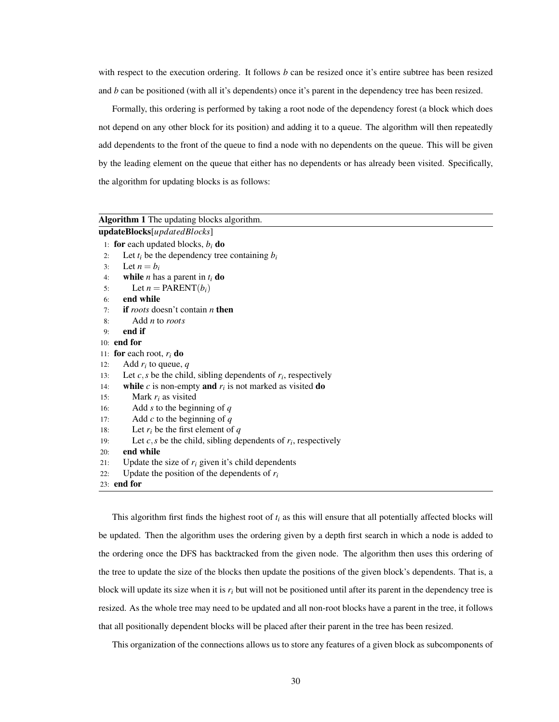with respect to the execution ordering. It follows *b* can be resized once it's entire subtree has been resized and *b* can be positioned (with all it's dependents) once it's parent in the dependency tree has been resized.

Formally, this ordering is performed by taking a root node of the dependency forest (a block which does not depend on any other block for its position) and adding it to a queue. The algorithm will then repeatedly add dependents to the front of the queue to find a node with no dependents on the queue. This will be given by the leading element on the queue that either has no dependents or has already been visited. Specifically, the algorithm for updating blocks is as follows:

| Algorithm 1 The updating blocks algorithm. |                                                                     |  |  |  |
|--------------------------------------------|---------------------------------------------------------------------|--|--|--|
| updateBlocks[updatedBlocks]                |                                                                     |  |  |  |
|                                            | 1: for each updated blocks, $b_i$ do                                |  |  |  |
| 2:                                         | Let $t_i$ be the dependency tree containing $b_i$                   |  |  |  |
| 3:                                         | Let $n = b_i$                                                       |  |  |  |
| 4:                                         | while <i>n</i> has a parent in $t_i$ do                             |  |  |  |
| 5:                                         | Let $n = PARENT(b_i)$                                               |  |  |  |
| 6:                                         | end while                                                           |  |  |  |
| 7:                                         | if roots doesn't contain $n$ then                                   |  |  |  |
| 8:                                         | Add $n$ to roots                                                    |  |  |  |
| 9:                                         | end if                                                              |  |  |  |
|                                            | $10:$ end for                                                       |  |  |  |
|                                            | 11: for each root, $r_i$ do                                         |  |  |  |
| 12:                                        | Add $r_i$ to queue, q                                               |  |  |  |
| 13:                                        | Let $c, s$ be the child, sibling dependents of $r_i$ , respectively |  |  |  |
| 14:                                        | while c is non-empty and $r_i$ is not marked as visited do          |  |  |  |
| 15:                                        | Mark $r_i$ as visited                                               |  |  |  |
| 16:                                        | Add s to the beginning of $q$                                       |  |  |  |
| 17:                                        | Add $c$ to the beginning of $q$                                     |  |  |  |
| 18:                                        | Let $r_i$ be the first element of q                                 |  |  |  |
| 19:                                        | Let $c, s$ be the child, sibling dependents of $r_i$ , respectively |  |  |  |
| 20:                                        | end while                                                           |  |  |  |
| 21:                                        | Update the size of $r_i$ given it's child dependents                |  |  |  |
| 22:                                        | Update the position of the dependents of $r_i$                      |  |  |  |
|                                            | $23:$ end for                                                       |  |  |  |

This algorithm first finds the highest root of  $t_i$  as this will ensure that all potentially affected blocks will be updated. Then the algorithm uses the ordering given by a depth first search in which a node is added to the ordering once the DFS has backtracked from the given node. The algorithm then uses this ordering of the tree to update the size of the blocks then update the positions of the given block's dependents. That is, a block will update its size when it is  $r_i$  but will not be positioned until after its parent in the dependency tree is resized. As the whole tree may need to be updated and all non-root blocks have a parent in the tree, it follows that all positionally dependent blocks will be placed after their parent in the tree has been resized.

This organization of the connections allows us to store any features of a given block as subcomponents of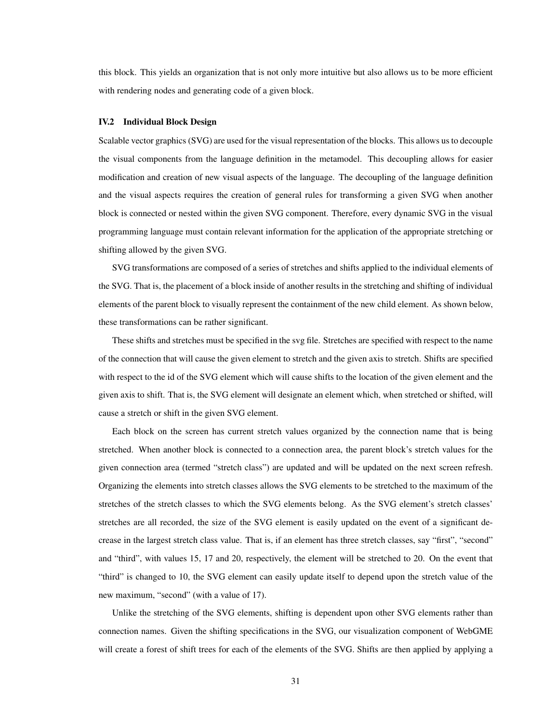this block. This yields an organization that is not only more intuitive but also allows us to be more efficient with rendering nodes and generating code of a given block.

#### <span id="page-35-0"></span>IV.2 Individual Block Design

Scalable vector graphics (SVG) are used for the visual representation of the blocks. This allows us to decouple the visual components from the language definition in the metamodel. This decoupling allows for easier modification and creation of new visual aspects of the language. The decoupling of the language definition and the visual aspects requires the creation of general rules for transforming a given SVG when another block is connected or nested within the given SVG component. Therefore, every dynamic SVG in the visual programming language must contain relevant information for the application of the appropriate stretching or shifting allowed by the given SVG.

SVG transformations are composed of a series of stretches and shifts applied to the individual elements of the SVG. That is, the placement of a block inside of another results in the stretching and shifting of individual elements of the parent block to visually represent the containment of the new child element. As shown below, these transformations can be rather significant.

These shifts and stretches must be specified in the svg file. Stretches are specified with respect to the name of the connection that will cause the given element to stretch and the given axis to stretch. Shifts are specified with respect to the id of the SVG element which will cause shifts to the location of the given element and the given axis to shift. That is, the SVG element will designate an element which, when stretched or shifted, will cause a stretch or shift in the given SVG element.

Each block on the screen has current stretch values organized by the connection name that is being stretched. When another block is connected to a connection area, the parent block's stretch values for the given connection area (termed "stretch class") are updated and will be updated on the next screen refresh. Organizing the elements into stretch classes allows the SVG elements to be stretched to the maximum of the stretches of the stretch classes to which the SVG elements belong. As the SVG element's stretch classes' stretches are all recorded, the size of the SVG element is easily updated on the event of a significant decrease in the largest stretch class value. That is, if an element has three stretch classes, say "first", "second" and "third", with values 15, 17 and 20, respectively, the element will be stretched to 20. On the event that "third" is changed to 10, the SVG element can easily update itself to depend upon the stretch value of the new maximum, "second" (with a value of 17).

Unlike the stretching of the SVG elements, shifting is dependent upon other SVG elements rather than connection names. Given the shifting specifications in the SVG, our visualization component of WebGME will create a forest of shift trees for each of the elements of the SVG. Shifts are then applied by applying a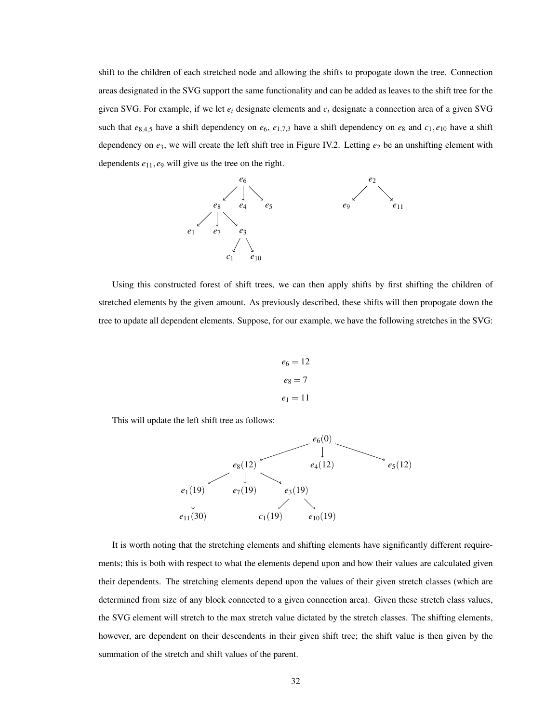shift to the children of each stretched node and allowing the shifts to propogate down the tree. Connection areas designated in the SVG support the same functionality and can be added as leaves to the shift tree for the given SVG. For example, if we let *e<sup>i</sup>* designate elements and *c<sup>i</sup>* designate a connection area of a given SVG such that  $e_{8,4,5}$  have a shift dependency on  $e_6$ ,  $e_{1,7,3}$  have a shift dependency on  $e_8$  and  $c_1$ ,  $e_{10}$  have a shift dependency on  $e_3$ , we will create the left shift tree in Figure [IV.2.](#page-35-0) Letting  $e_2$  be an unshifting element with dependents *e*11, *e*<sup>9</sup> will give us the tree on the right.



Using this constructed forest of shift trees, we can then apply shifts by first shifting the children of stretched elements by the given amount. As previously described, these shifts will then propogate down the tree to update all dependent elements. Suppose, for our example, we have the following stretches in the SVG:

$$
e_6 = 12
$$

$$
e_8 = 7
$$

$$
e_1 = 11
$$

This will update the left shift tree as follows:



It is worth noting that the stretching elements and shifting elements have significantly different requirements; this is both with respect to what the elements depend upon and how their values are calculated given their dependents. The stretching elements depend upon the values of their given stretch classes (which are determined from size of any block connected to a given connection area). Given these stretch class values, the SVG element will stretch to the max stretch value dictated by the stretch classes. The shifting elements, however, are dependent on their descendents in their given shift tree; the shift value is then given by the summation of the stretch and shift values of the parent.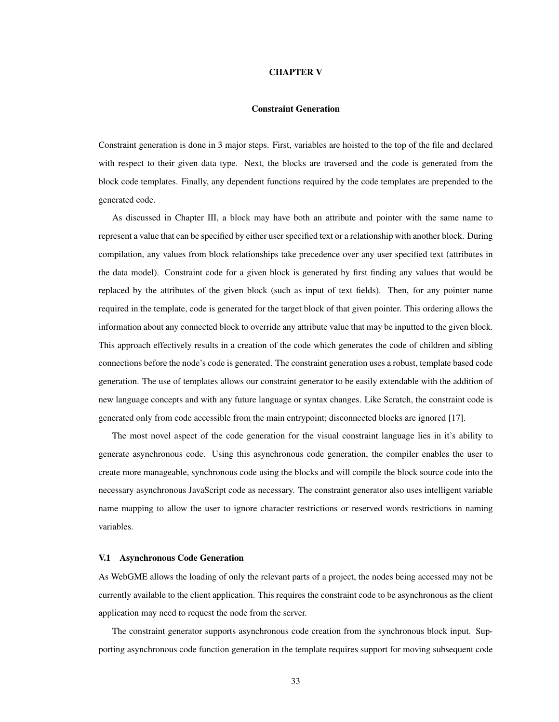### CHAPTER V

## Constraint Generation

<span id="page-37-0"></span>Constraint generation is done in 3 major steps. First, variables are hoisted to the top of the file and declared with respect to their given data type. Next, the blocks are traversed and the code is generated from the block code templates. Finally, any dependent functions required by the code templates are prepended to the generated code.

As discussed in Chapter [III,](#page-27-0) a block may have both an attribute and pointer with the same name to represent a value that can be specified by either user specified text or a relationship with another block. During compilation, any values from block relationships take precedence over any user specified text (attributes in the data model). Constraint code for a given block is generated by first finding any values that would be replaced by the attributes of the given block (such as input of text fields). Then, for any pointer name required in the template, code is generated for the target block of that given pointer. This ordering allows the information about any connected block to override any attribute value that may be inputted to the given block. This approach effectively results in a creation of the code which generates the code of children and sibling connections before the node's code is generated. The constraint generation uses a robust, template based code generation. The use of templates allows our constraint generator to be easily extendable with the addition of new language concepts and with any future language or syntax changes. Like Scratch, the constraint code is generated only from code accessible from the main entrypoint; disconnected blocks are ignored [\[17\]](#page-51-5).

The most novel aspect of the code generation for the visual constraint language lies in it's ability to generate asynchronous code. Using this asynchronous code generation, the compiler enables the user to create more manageable, synchronous code using the blocks and will compile the block source code into the necessary asynchronous JavaScript code as necessary. The constraint generator also uses intelligent variable name mapping to allow the user to ignore character restrictions or reserved words restrictions in naming variables.

## <span id="page-37-1"></span>V.1 Asynchronous Code Generation

As WebGME allows the loading of only the relevant parts of a project, the nodes being accessed may not be currently available to the client application. This requires the constraint code to be asynchronous as the client application may need to request the node from the server.

The constraint generator supports asynchronous code creation from the synchronous block input. Supporting asynchronous code function generation in the template requires support for moving subsequent code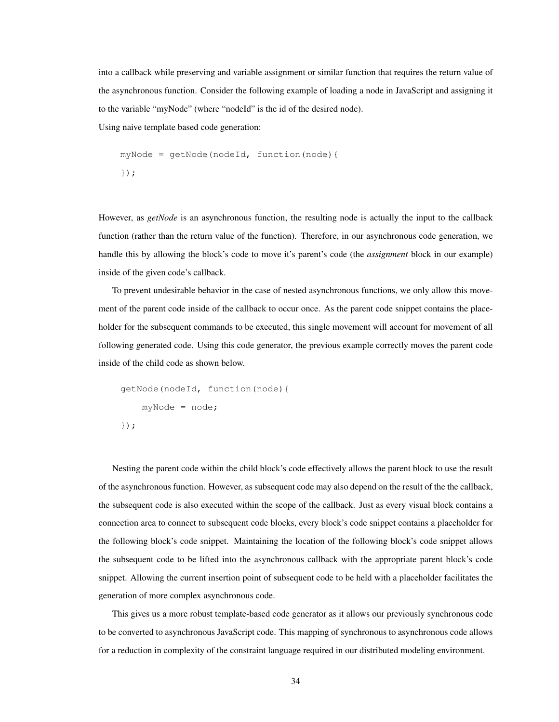into a callback while preserving and variable assignment or similar function that requires the return value of the asynchronous function. Consider the following example of loading a node in JavaScript and assigning it to the variable "myNode" (where "nodeId" is the id of the desired node). Using naive template based code generation:

```
myNode = getNode(nodeId, function(node){
});
```
However, as *getNode* is an asynchronous function, the resulting node is actually the input to the callback function (rather than the return value of the function). Therefore, in our asynchronous code generation, we handle this by allowing the block's code to move it's parent's code (the *assignment* block in our example) inside of the given code's callback.

To prevent undesirable behavior in the case of nested asynchronous functions, we only allow this movement of the parent code inside of the callback to occur once. As the parent code snippet contains the placeholder for the subsequent commands to be executed, this single movement will account for movement of all following generated code. Using this code generator, the previous example correctly moves the parent code inside of the child code as shown below.

```
getNode(nodeId, function(node){
    myNode = node;
});
```
Nesting the parent code within the child block's code effectively allows the parent block to use the result of the asynchronous function. However, as subsequent code may also depend on the result of the the callback, the subsequent code is also executed within the scope of the callback. Just as every visual block contains a connection area to connect to subsequent code blocks, every block's code snippet contains a placeholder for the following block's code snippet. Maintaining the location of the following block's code snippet allows the subsequent code to be lifted into the asynchronous callback with the appropriate parent block's code snippet. Allowing the current insertion point of subsequent code to be held with a placeholder facilitates the generation of more complex asynchronous code.

This gives us a more robust template-based code generator as it allows our previously synchronous code to be converted to asynchronous JavaScript code. This mapping of synchronous to asynchronous code allows for a reduction in complexity of the constraint language required in our distributed modeling environment.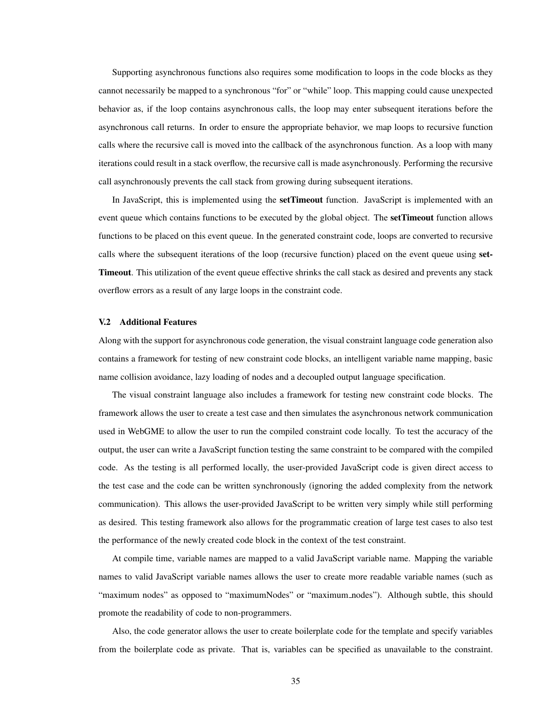Supporting asynchronous functions also requires some modification to loops in the code blocks as they cannot necessarily be mapped to a synchronous "for" or "while" loop. This mapping could cause unexpected behavior as, if the loop contains asynchronous calls, the loop may enter subsequent iterations before the asynchronous call returns. In order to ensure the appropriate behavior, we map loops to recursive function calls where the recursive call is moved into the callback of the asynchronous function. As a loop with many iterations could result in a stack overflow, the recursive call is made asynchronously. Performing the recursive call asynchronously prevents the call stack from growing during subsequent iterations.

In JavaScript, this is implemented using the **setTimeout** function. JavaScript is implemented with an event queue which contains functions to be executed by the global object. The **setTimeout** function allows functions to be placed on this event queue. In the generated constraint code, loops are converted to recursive calls where the subsequent iterations of the loop (recursive function) placed on the event queue using set-Timeout. This utilization of the event queue effective shrinks the call stack as desired and prevents any stack overflow errors as a result of any large loops in the constraint code.

## <span id="page-39-0"></span>V.2 Additional Features

Along with the support for asynchronous code generation, the visual constraint language code generation also contains a framework for testing of new constraint code blocks, an intelligent variable name mapping, basic name collision avoidance, lazy loading of nodes and a decoupled output language specification.

The visual constraint language also includes a framework for testing new constraint code blocks. The framework allows the user to create a test case and then simulates the asynchronous network communication used in WebGME to allow the user to run the compiled constraint code locally. To test the accuracy of the output, the user can write a JavaScript function testing the same constraint to be compared with the compiled code. As the testing is all performed locally, the user-provided JavaScript code is given direct access to the test case and the code can be written synchronously (ignoring the added complexity from the network communication). This allows the user-provided JavaScript to be written very simply while still performing as desired. This testing framework also allows for the programmatic creation of large test cases to also test the performance of the newly created code block in the context of the test constraint.

At compile time, variable names are mapped to a valid JavaScript variable name. Mapping the variable names to valid JavaScript variable names allows the user to create more readable variable names (such as "maximum nodes" as opposed to "maximumNodes" or "maximum\_nodes"). Although subtle, this should promote the readability of code to non-programmers.

Also, the code generator allows the user to create boilerplate code for the template and specify variables from the boilerplate code as private. That is, variables can be specified as unavailable to the constraint.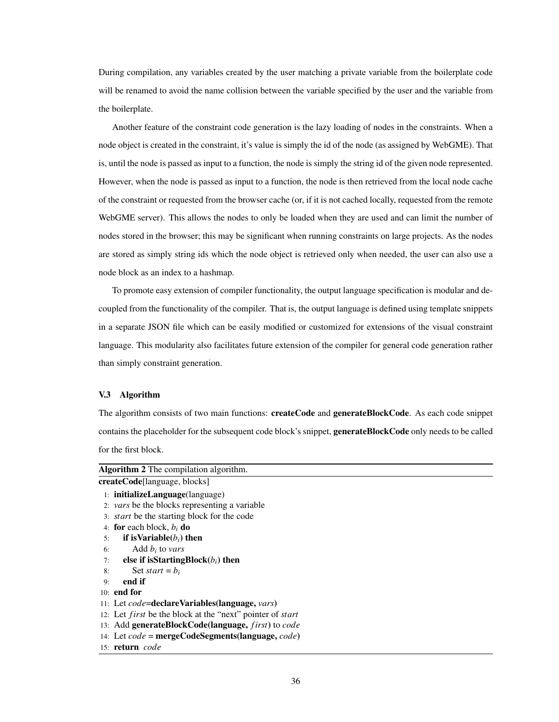During compilation, any variables created by the user matching a private variable from the boilerplate code will be renamed to avoid the name collision between the variable specified by the user and the variable from the boilerplate.

Another feature of the constraint code generation is the lazy loading of nodes in the constraints. When a node object is created in the constraint, it's value is simply the id of the node (as assigned by WebGME). That is, until the node is passed as input to a function, the node is simply the string id of the given node represented. However, when the node is passed as input to a function, the node is then retrieved from the local node cache of the constraint or requested from the browser cache (or, if it is not cached locally, requested from the remote WebGME server). This allows the nodes to only be loaded when they are used and can limit the number of nodes stored in the browser; this may be significant when running constraints on large projects. As the nodes are stored as simply string ids which the node object is retrieved only when needed, the user can also use a node block as an index to a hashmap.

To promote easy extension of compiler functionality, the output language specification is modular and decoupled from the functionality of the compiler. That is, the output language is defined using template snippets in a separate JSON file which can be easily modified or customized for extensions of the visual constraint language. This modularity also facilitates future extension of the compiler for general code generation rather than simply constraint generation.

## <span id="page-40-0"></span>V.3 Algorithm

The algorithm consists of two main functions: **createCode** and **generateBlockCode**. As each code snippet contains the placeholder for the subsequent code block's snippet, **generateBlockCode** only needs to be called for the first block.

<span id="page-40-1"></span>

| <b>Algorithm 2</b> The compilation algorithm.                           |  |  |  |
|-------------------------------------------------------------------------|--|--|--|
| createCode[language, blocks]                                            |  |  |  |
| $1:$ initializeLanguage(language)                                       |  |  |  |
| 2: vars be the blocks representing a variable                           |  |  |  |
| 3: <i>start</i> be the starting block for the code                      |  |  |  |
| 4: for each block, $b_i$ do                                             |  |  |  |
| if is Variable $(b_i)$ then<br>5:                                       |  |  |  |
| Add $b_i$ to vars<br>6:                                                 |  |  |  |
| else if isStartingBlock $(b_i)$ then<br>7:                              |  |  |  |
| Set start = $b_i$<br>8:                                                 |  |  |  |
| end if<br>9:                                                            |  |  |  |
| $10:$ end for                                                           |  |  |  |
| 11: Let code=declareVariables(language, vars)                           |  |  |  |
| 12: Let <i>first</i> be the block at the "next" pointer of <i>start</i> |  |  |  |
| 13: Add generateBlockCode(language, <i>first</i> ) to <i>code</i>       |  |  |  |
| 14: Let $code = mergeCodeSegment(language, code)$                       |  |  |  |
| 15: <b>return</b> code                                                  |  |  |  |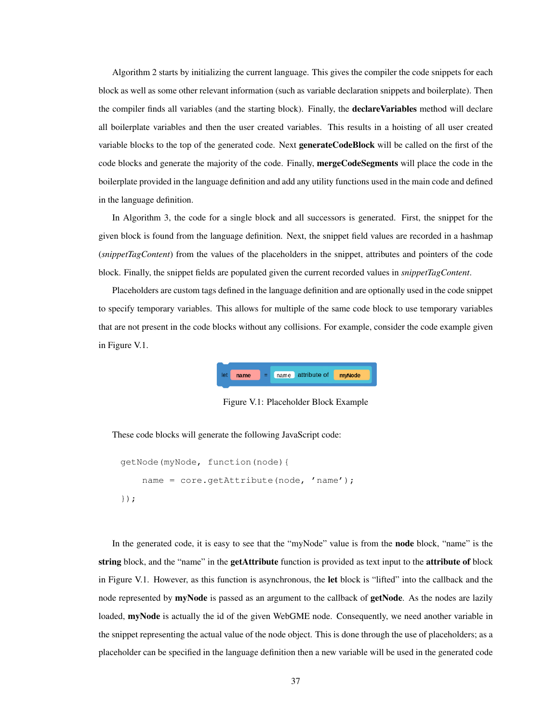Algorithm [2](#page-40-1) starts by initializing the current language. This gives the compiler the code snippets for each block as well as some other relevant information (such as variable declaration snippets and boilerplate). Then the compiler finds all variables (and the starting block). Finally, the **declareVariables** method will declare all boilerplate variables and then the user created variables. This results in a hoisting of all user created variable blocks to the top of the generated code. Next generateCodeBlock will be called on the first of the code blocks and generate the majority of the code. Finally, **mergeCodeSegments** will place the code in the boilerplate provided in the language definition and add any utility functions used in the main code and defined in the language definition.

In Algorithm [3,](#page-42-0) the code for a single block and all successors is generated. First, the snippet for the given block is found from the language definition. Next, the snippet field values are recorded in a hashmap (*snippetTagContent*) from the values of the placeholders in the snippet, attributes and pointers of the code block. Finally, the snippet fields are populated given the current recorded values in *snippetTagContent*.

<span id="page-41-0"></span>Placeholders are custom tags defined in the language definition and are optionally used in the code snippet to specify temporary variables. This allows for multiple of the same code block to use temporary variables that are not present in the code blocks without any collisions. For example, consider the code example given in Figure [V.1.](#page-41-0)



Figure V.1: Placeholder Block Example

These code blocks will generate the following JavaScript code:

```
getNode(myNode, function(node){
    name = core.getAttribute(node, 'name');
});
```
In the generated code, it is easy to see that the "myNode" value is from the node block, "name" is the string block, and the "name" in the getAttribute function is provided as text input to the attribute of block in Figure [V.1.](#page-41-0) However, as this function is asynchronous, the let block is "lifted" into the callback and the node represented by myNode is passed as an argument to the callback of getNode. As the nodes are lazily loaded, myNode is actually the id of the given WebGME node. Consequently, we need another variable in the snippet representing the actual value of the node object. This is done through the use of placeholders; as a placeholder can be specified in the language definition then a new variable will be used in the generated code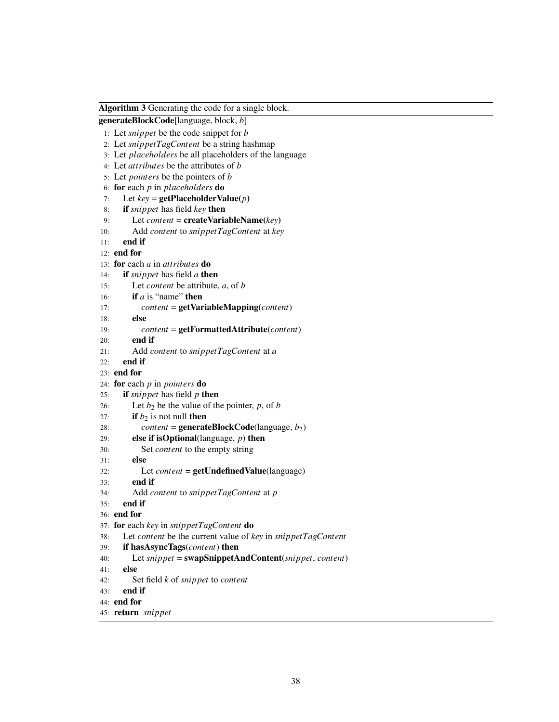<span id="page-42-0"></span>Algorithm 3 Generating the code for a single block.

```
generateBlockCode[language, block, b]
```

```
1: Let snippet be the code snippet for b
```
- 2: Let *snippetTagContent* be a string hashmap
- 3: Let *placeholders* be all placeholders of the language
- 4: Let *attributes* be the attributes of *b*
- 5: Let *pointers* be the pointers of *b*
- 6: for each *p* in *placeholders* do
- 7: Let  $key = getPlaceholderValue(p)$
- 8: if *snippet* has field *key* then
- 9: Let *content* = createVariableName(*key*)
- 10: Add *content* to *snippetTagContent* at *key*
- 11: end if

```
12: end for
```

```
13: for each a in attributes do
```
- 14: if *snippet* has field *a* then
- 15: Let *content* be attribute, *a*, of *b*
- 16: if *a* is "name" then
- 17: *content* = getVariableMapping(*content*)
- 18: else
- 19: *content* = getFormattedAttribute(*content*)
- 20: end if

```
21: Add content to snippetTagContent at a
```

```
22: end if
```
# 23: end for

```
24: for each p in pointers do
```
- 25: if *snippet* has field *p* then
- 26: Let  $b_2$  be the value of the pointer,  $p$ , of  $b$
- 27: **if**  $b_2$  is not null **then**
- 28: *content* = **generateBlockCode**(language,  $b_2$ )
- 29: else if isOptional(language, *p*) then
- 30: Set *content* to the empty string
- 31: else
- 32: Let *content* = getUndefinedValue(language)
- 33: end if
- 34: Add *content* to *snippetTagContent* at *p*
- 35: end if

```
36: end for
```

```
37: for each key in snippetTagContent do
```
- 38: Let *content* be the current value of *key* in *snippetTagContent*
- 39: if hasAsyncTags(*content*) then
- 40: Let *snippet* = swapSnippetAndContent(*snippet*, *content*)
- 41: else
- 42: Set field *k* of *snippet* to *content*
- 43: end if
- 44: end for

```
45: return snippet
```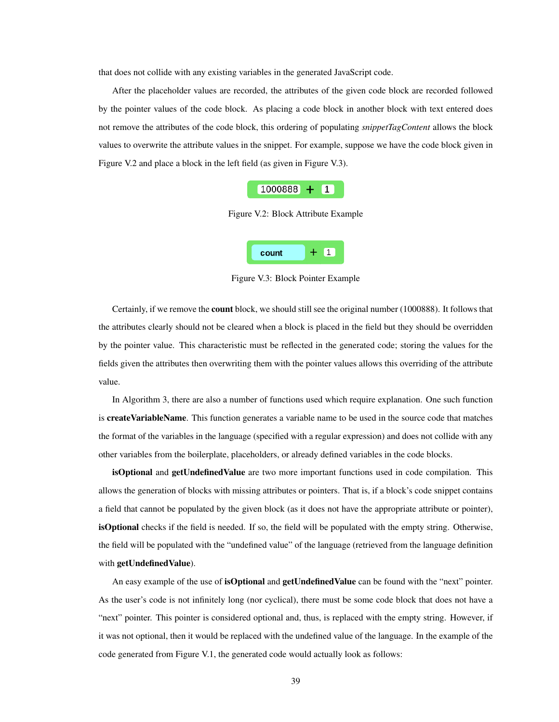that does not collide with any existing variables in the generated JavaScript code.

<span id="page-43-0"></span>After the placeholder values are recorded, the attributes of the given code block are recorded followed by the pointer values of the code block. As placing a code block in another block with text entered does not remove the attributes of the code block, this ordering of populating *snippetTagContent* allows the block values to overwrite the attribute values in the snippet. For example, suppose we have the code block given in Figure [V.2](#page-43-0) and place a block in the left field (as given in Figure [V.3\)](#page-43-1).



Figure V.2: Block Attribute Example



Figure V.3: Block Pointer Example

<span id="page-43-1"></span>Certainly, if we remove the count block, we should still see the original number (1000888). It follows that the attributes clearly should not be cleared when a block is placed in the field but they should be overridden by the pointer value. This characteristic must be reflected in the generated code; storing the values for the fields given the attributes then overwriting them with the pointer values allows this overriding of the attribute value.

In Algorithm [3,](#page-42-0) there are also a number of functions used which require explanation. One such function is **createVariableName**. This function generates a variable name to be used in the source code that matches the format of the variables in the language (specified with a regular expression) and does not collide with any other variables from the boilerplate, placeholders, or already defined variables in the code blocks.

isOptional and getUndefinedValue are two more important functions used in code compilation. This allows the generation of blocks with missing attributes or pointers. That is, if a block's code snippet contains a field that cannot be populated by the given block (as it does not have the appropriate attribute or pointer), isOptional checks if the field is needed. If so, the field will be populated with the empty string. Otherwise, the field will be populated with the "undefined value" of the language (retrieved from the language definition with getUndefinedValue).

An easy example of the use of **isOptional** and **getUndefinedValue** can be found with the "next" pointer. As the user's code is not infinitely long (nor cyclical), there must be some code block that does not have a "next" pointer. This pointer is considered optional and, thus, is replaced with the empty string. However, if it was not optional, then it would be replaced with the undefined value of the language. In the example of the code generated from Figure [V.1,](#page-41-0) the generated code would actually look as follows: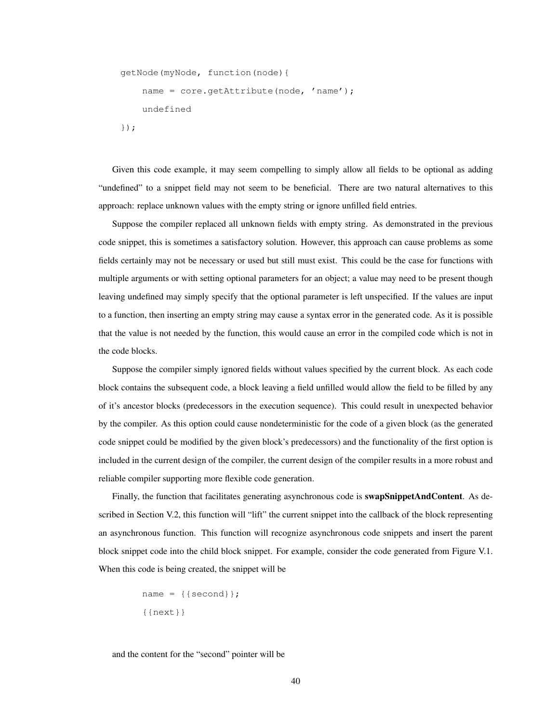```
getNode(myNode, function(node){
    name = core.getAttribute(node, 'name');
    undefined
});
```
Given this code example, it may seem compelling to simply allow all fields to be optional as adding "undefined" to a snippet field may not seem to be beneficial. There are two natural alternatives to this approach: replace unknown values with the empty string or ignore unfilled field entries.

Suppose the compiler replaced all unknown fields with empty string. As demonstrated in the previous code snippet, this is sometimes a satisfactory solution. However, this approach can cause problems as some fields certainly may not be necessary or used but still must exist. This could be the case for functions with multiple arguments or with setting optional parameters for an object; a value may need to be present though leaving undefined may simply specify that the optional parameter is left unspecified. If the values are input to a function, then inserting an empty string may cause a syntax error in the generated code. As it is possible that the value is not needed by the function, this would cause an error in the compiled code which is not in the code blocks.

Suppose the compiler simply ignored fields without values specified by the current block. As each code block contains the subsequent code, a block leaving a field unfilled would allow the field to be filled by any of it's ancestor blocks (predecessors in the execution sequence). This could result in unexpected behavior by the compiler. As this option could cause nondeterministic for the code of a given block (as the generated code snippet could be modified by the given block's predecessors) and the functionality of the first option is included in the current design of the compiler, the current design of the compiler results in a more robust and reliable compiler supporting more flexible code generation.

Finally, the function that facilitates generating asynchronous code is **swapSnippetAndContent**. As de-scribed in Section [V.2,](#page-39-0) this function will "lift" the current snippet into the callback of the block representing an asynchronous function. This function will recognize asynchronous code snippets and insert the parent block snippet code into the child block snippet. For example, consider the code generated from Figure [V.1.](#page-41-0) When this code is being created, the snippet will be

```
name = {math>
{{next}}
```
and the content for the "second" pointer will be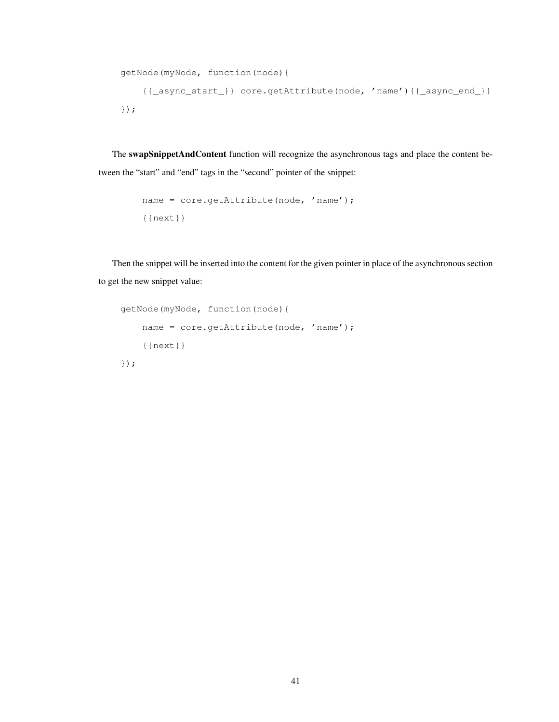```
getNode(myNode, function(node){
    {{_async_start_}} core.getAttribute(node, 'name'){{_async_end_}}
});
```
The swapSnippetAndContent function will recognize the asynchronous tags and place the content between the "start" and "end" tags in the "second" pointer of the snippet:

```
name = core.getAttribute(node, 'name');
{{next}}
```
Then the snippet will be inserted into the content for the given pointer in place of the asynchronous section to get the new snippet value:

```
getNode(myNode, function(node){
    name = core.getAttribute(node, 'name');
    {{next}}
});
```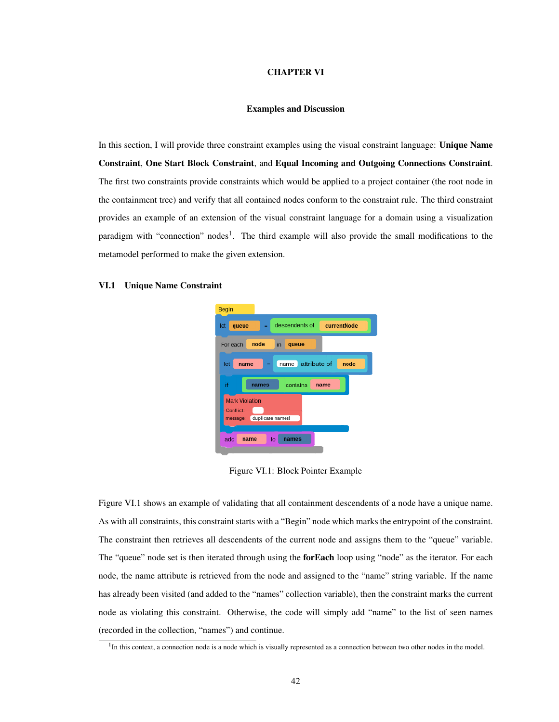### CHAPTER VI

### Examples and Discussion

<span id="page-46-0"></span>In this section, I will provide three constraint examples using the visual constraint language: Unique Name Constraint, One Start Block Constraint, and Equal Incoming and Outgoing Connections Constraint. The first two constraints provide constraints which would be applied to a project container (the root node in the containment tree) and verify that all contained nodes conform to the constraint rule. The third constraint provides an example of an extension of the visual constraint language for a domain using a visualization paradigm with "connection" nodes<sup>[1](#page-46-3)</sup>. The third example will also provide the small modifications to the metamodel performed to make the given extension.

## <span id="page-46-2"></span><span id="page-46-1"></span>VI.1 Unique Name Constraint



Figure VI.1: Block Pointer Example

Figure [VI.1](#page-46-2) shows an example of validating that all containment descendents of a node have a unique name. As with all constraints, this constraint starts with a "Begin" node which marks the entrypoint of the constraint. The constraint then retrieves all descendents of the current node and assigns them to the "queue" variable. The "queue" node set is then iterated through using the **forEach** loop using "node" as the iterator. For each node, the name attribute is retrieved from the node and assigned to the "name" string variable. If the name has already been visited (and added to the "names" collection variable), then the constraint marks the current node as violating this constraint. Otherwise, the code will simply add "name" to the list of seen names (recorded in the collection, "names") and continue.

<span id="page-46-3"></span><sup>&</sup>lt;sup>1</sup>In this context, a connection node is a node which is visually represented as a connection between two other nodes in the model.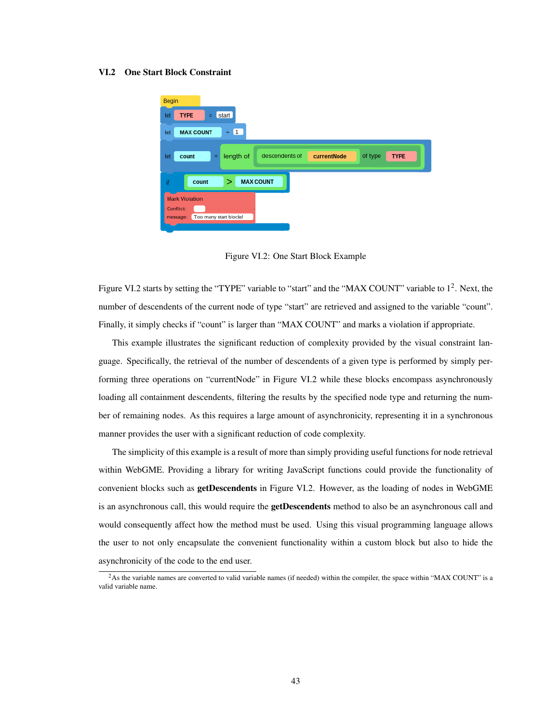### <span id="page-47-1"></span><span id="page-47-0"></span>VI.2 One Start Block Constraint



Figure VI.2: One Start Block Example

Figure [VI.2](#page-47-1) starts by setting the "TYPE" variable to "start" and the "MAX COUNT" variable to 1<sup>[2](#page-47-2)</sup>. Next, the number of descendents of the current node of type "start" are retrieved and assigned to the variable "count". Finally, it simply checks if "count" is larger than "MAX COUNT" and marks a violation if appropriate.

This example illustrates the significant reduction of complexity provided by the visual constraint language. Specifically, the retrieval of the number of descendents of a given type is performed by simply performing three operations on "currentNode" in Figure [VI.2](#page-47-1) while these blocks encompass asynchronously loading all containment descendents, filtering the results by the specified node type and returning the number of remaining nodes. As this requires a large amount of asynchronicity, representing it in a synchronous manner provides the user with a significant reduction of code complexity.

The simplicity of this example is a result of more than simply providing useful functions for node retrieval within WebGME. Providing a library for writing JavaScript functions could provide the functionality of convenient blocks such as getDescendents in Figure [VI.2.](#page-47-1) However, as the loading of nodes in WebGME is an asynchronous call, this would require the **getDescendents** method to also be an asynchronous call and would consequently affect how the method must be used. Using this visual programming language allows the user to not only encapsulate the convenient functionality within a custom block but also to hide the asynchronicity of the code to the end user.

<span id="page-47-2"></span> $2$ As the variable names are converted to valid variable names (if needed) within the compiler, the space within "MAX COUNT" is a valid variable name.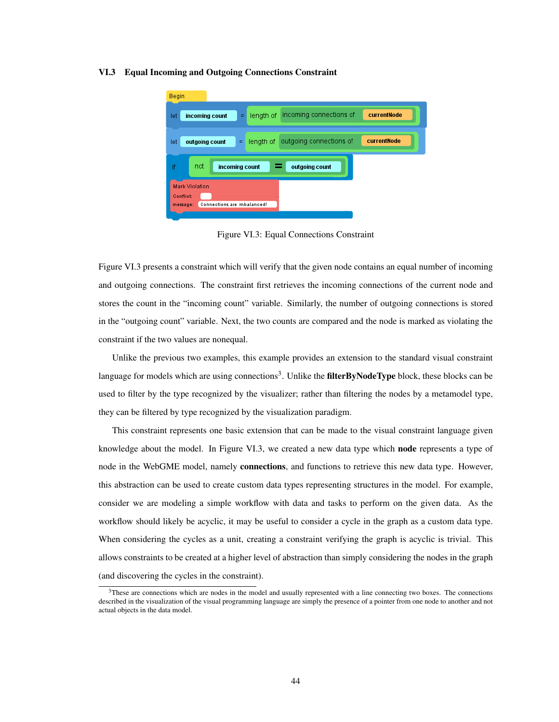### <span id="page-48-1"></span><span id="page-48-0"></span>VI.3 Equal Incoming and Outgoing Connections Constraint



Figure VI.3: Equal Connections Constraint

Figure [VI.3](#page-48-1) presents a constraint which will verify that the given node contains an equal number of incoming and outgoing connections. The constraint first retrieves the incoming connections of the current node and stores the count in the "incoming count" variable. Similarly, the number of outgoing connections is stored in the "outgoing count" variable. Next, the two counts are compared and the node is marked as violating the constraint if the two values are nonequal.

Unlike the previous two examples, this example provides an extension to the standard visual constraint language for models which are using connections<sup>[3](#page-48-2)</sup>. Unlike the **filterByNodeType** block, these blocks can be used to filter by the type recognized by the visualizer; rather than filtering the nodes by a metamodel type, they can be filtered by type recognized by the visualization paradigm.

This constraint represents one basic extension that can be made to the visual constraint language given knowledge about the model. In Figure [VI.3,](#page-48-1) we created a new data type which **node** represents a type of node in the WebGME model, namely **connections**, and functions to retrieve this new data type. However, this abstraction can be used to create custom data types representing structures in the model. For example, consider we are modeling a simple workflow with data and tasks to perform on the given data. As the workflow should likely be acyclic, it may be useful to consider a cycle in the graph as a custom data type. When considering the cycles as a unit, creating a constraint verifying the graph is acyclic is trivial. This allows constraints to be created at a higher level of abstraction than simply considering the nodes in the graph (and discovering the cycles in the constraint).

<span id="page-48-2"></span> $3<sup>3</sup>$ These are connections which are nodes in the model and usually represented with a line connecting two boxes. The connections described in the visualization of the visual programming language are simply the presence of a pointer from one node to another and not actual objects in the data model.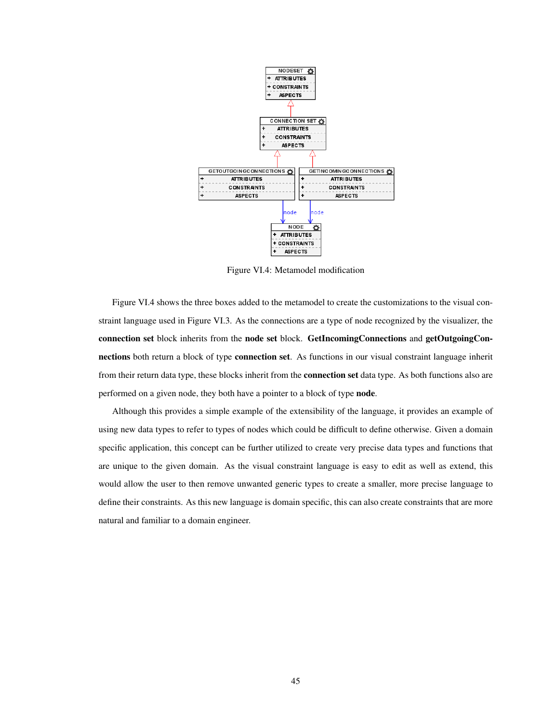<span id="page-49-0"></span>

Figure VI.4: Metamodel modification

Figure [VI.4](#page-49-0) shows the three boxes added to the metamodel to create the customizations to the visual constraint language used in Figure [VI.3.](#page-48-1) As the connections are a type of node recognized by the visualizer, the connection set block inherits from the node set block. GetIncomingConnections and getOutgoingConnections both return a block of type connection set. As functions in our visual constraint language inherit from their return data type, these blocks inherit from the **connection set** data type. As both functions also are performed on a given node, they both have a pointer to a block of type node.

Although this provides a simple example of the extensibility of the language, it provides an example of using new data types to refer to types of nodes which could be difficult to define otherwise. Given a domain specific application, this concept can be further utilized to create very precise data types and functions that are unique to the given domain. As the visual constraint language is easy to edit as well as extend, this would allow the user to then remove unwanted generic types to create a smaller, more precise language to define their constraints. As this new language is domain specific, this can also create constraints that are more natural and familiar to a domain engineer.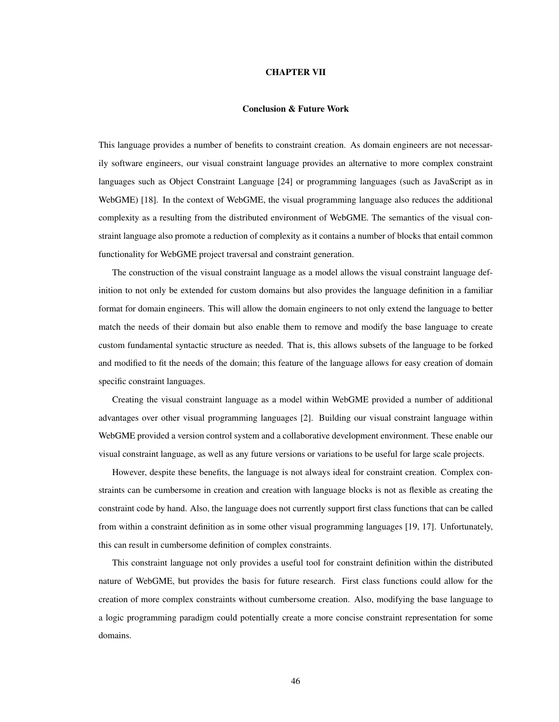### CHAPTER VII

## Conclusion & Future Work

<span id="page-50-0"></span>This language provides a number of benefits to constraint creation. As domain engineers are not necessarily software engineers, our visual constraint language provides an alternative to more complex constraint languages such as Object Constraint Language [\[24\]](#page-52-6) or programming languages (such as JavaScript as in WebGME) [\[18\]](#page-51-14). In the context of WebGME, the visual programming language also reduces the additional complexity as a resulting from the distributed environment of WebGME. The semantics of the visual constraint language also promote a reduction of complexity as it contains a number of blocks that entail common functionality for WebGME project traversal and constraint generation.

The construction of the visual constraint language as a model allows the visual constraint language definition to not only be extended for custom domains but also provides the language definition in a familiar format for domain engineers. This will allow the domain engineers to not only extend the language to better match the needs of their domain but also enable them to remove and modify the base language to create custom fundamental syntactic structure as needed. That is, this allows subsets of the language to be forked and modified to fit the needs of the domain; this feature of the language allows for easy creation of domain specific constraint languages.

Creating the visual constraint language as a model within WebGME provided a number of additional advantages over other visual programming languages [\[2\]](#page-51-7). Building our visual constraint language within WebGME provided a version control system and a collaborative development environment. These enable our visual constraint language, as well as any future versions or variations to be useful for large scale projects.

However, despite these benefits, the language is not always ideal for constraint creation. Complex constraints can be cumbersome in creation and creation with language blocks is not as flexible as creating the constraint code by hand. Also, the language does not currently support first class functions that can be called from within a constraint definition as in some other visual programming languages [\[19,](#page-52-2) [17\]](#page-51-5). Unfortunately, this can result in cumbersome definition of complex constraints.

This constraint language not only provides a useful tool for constraint definition within the distributed nature of WebGME, but provides the basis for future research. First class functions could allow for the creation of more complex constraints without cumbersome creation. Also, modifying the base language to a logic programming paradigm could potentially create a more concise constraint representation for some domains.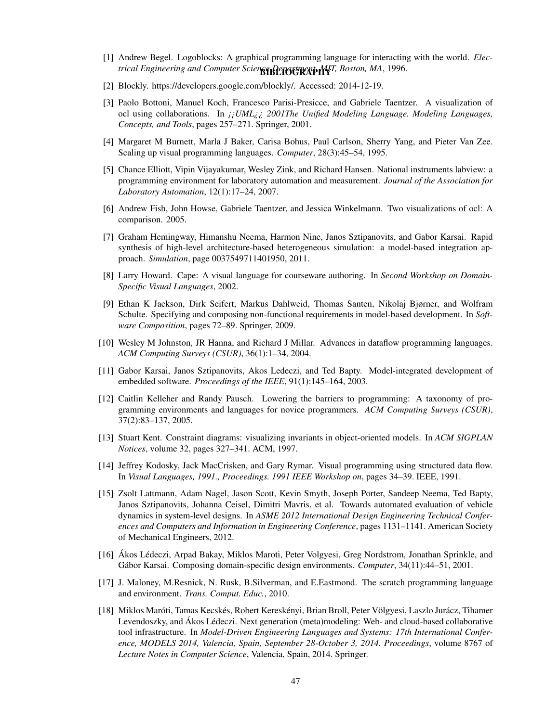- <span id="page-51-6"></span><span id="page-51-0"></span>trical Engineering and Computer Scien**ge Department MJ**T, Boston, MA, 1996. [1] Andrew Begel. Logoblocks: A graphical programming language for interacting with the world. *Elec-*
- <span id="page-51-7"></span>[2] Blockly. https://developers.google.com/blockly/. Accessed: 2014-12-19.
- <span id="page-51-18"></span>[3] Paolo Bottoni, Manuel Koch, Francesco Parisi-Presicce, and Gabriele Taentzer. A visualization of ocl using collaborations. In *¡¡UML¿¿ 2001The Unified Modeling Language. Modeling Languages, Concepts, and Tools*, pages 257–271. Springer, 2001.
- <span id="page-51-8"></span>[4] Margaret M Burnett, Marla J Baker, Carisa Bohus, Paul Carlson, Sherry Yang, and Pieter Van Zee. Scaling up visual programming languages. *Computer*, 28(3):45–54, 1995.
- <span id="page-51-4"></span>[5] Chance Elliott, Vipin Vijayakumar, Wesley Zink, and Richard Hansen. National instruments labview: a programming environment for laboratory automation and measurement. *Journal of the Association for Laboratory Automation*, 12(1):17–24, 2007.
- <span id="page-51-17"></span>[6] Andrew Fish, John Howse, Gabriele Taentzer, and Jessica Winkelmann. Two visualizations of ocl: A comparison. 2005.
- <span id="page-51-15"></span>[7] Graham Hemingway, Himanshu Neema, Harmon Nine, Janos Sztipanovits, and Gabor Karsai. Rapid synthesis of high-level architecture-based heterogeneous simulation: a model-based integration approach. *Simulation*, page 0037549711401950, 2011.
- <span id="page-51-9"></span>[8] Larry Howard. Cape: A visual language for courseware authoring. In *Second Workshop on Domain-Specific Visual Languages*, 2002.
- <span id="page-51-13"></span>[9] Ethan K Jackson, Dirk Seifert, Markus Dahlweid, Thomas Santen, Nikolaj Bjørner, and Wolfram Schulte. Specifying and composing non-functional requirements in model-based development. In *Software Composition*, pages 72–89. Springer, 2009.
- <span id="page-51-2"></span>[10] Wesley M Johnston, JR Hanna, and Richard J Millar. Advances in dataflow programming languages. *ACM Computing Surveys (CSUR)*, 36(1):1–34, 2004.
- <span id="page-51-11"></span>[11] Gabor Karsai, Janos Sztipanovits, Akos Ledeczi, and Ted Bapty. Model-integrated development of embedded software. *Proceedings of the IEEE*, 91(1):145–164, 2003.
- <span id="page-51-1"></span>[12] Caitlin Kelleher and Randy Pausch. Lowering the barriers to programming: A taxonomy of programming environments and languages for novice programmers. *ACM Computing Surveys (CSUR)*, 37(2):83–137, 2005.
- <span id="page-51-16"></span>[13] Stuart Kent. Constraint diagrams: visualizing invariants in object-oriented models. In *ACM SIGPLAN Notices*, volume 32, pages 327–341. ACM, 1997.
- <span id="page-51-3"></span>[14] Jeffrey Kodosky, Jack MacCrisken, and Gary Rymar. Visual programming using structured data flow. In *Visual Languages, 1991., Proceedings. 1991 IEEE Workshop on*, pages 34–39. IEEE, 1991.
- <span id="page-51-10"></span>[15] Zsolt Lattmann, Adam Nagel, Jason Scott, Kevin Smyth, Joseph Porter, Sandeep Neema, Ted Bapty, Janos Sztipanovits, Johanna Ceisel, Dimitri Mavris, et al. Towards automated evaluation of vehicle dynamics in system-level designs. In *ASME 2012 International Design Engineering Technical Conferences and Computers and Information in Engineering Conference*, pages 1131–1141. American Society of Mechanical Engineers, 2012.
- <span id="page-51-12"></span>[16] Ákos Lédeczi, Arpad Bakay, Miklos Maroti, Peter Volgyesi, Greg Nordstrom, Jonathan Sprinkle, and Gábor Karsai. Composing domain-specific design environments. *Computer*, 34(11):44–51, 2001.
- <span id="page-51-5"></span>[17] J. Maloney, M.Resnick, N. Rusk, B.Silverman, and E.Eastmond. The scratch programming language and environment. *Trans. Comput. Educ.*, 2010.
- <span id="page-51-14"></span>[18] Miklos Maróti, Tamas Kecskés, Robert Kereskényi, Brian Broll, Peter Völgyesi, Laszlo Jurácz, Tihamer Levendoszky, and Ákos Lédeczi. Next generation (meta)modeling: Web- and cloud-based collaborative tool infrastructure. In *Model-Driven Engineering Languages and Systems: 17th International Conference, MODELS 2014, Valencia, Spain, September 28-October 3, 2014. Proceedings*, volume 8767 of *Lecture Notes in Computer Science*, Valencia, Spain, 2014. Springer.